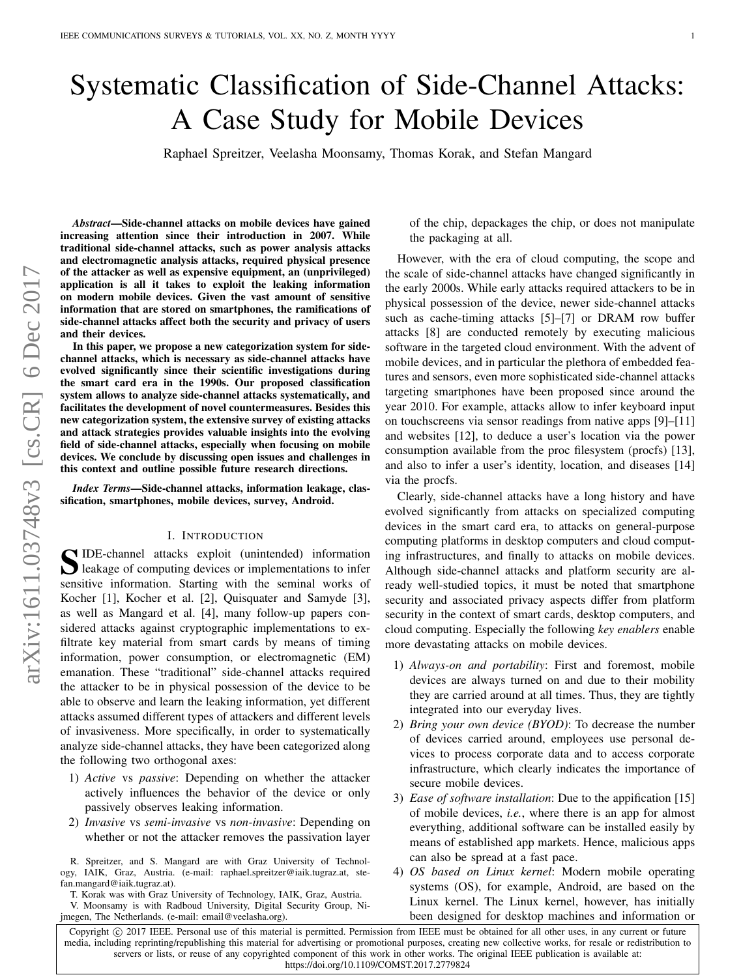# Systematic Classification of Side-Channel Attacks: A Case Study for Mobile Devices

Raphael Spreitzer, Veelasha Moonsamy, Thomas Korak, and Stefan Mangard

*Abstract*—Side-channel attacks on mobile devices have gained increasing attention since their introduction in 2007. While traditional side-channel attacks, such as power analysis attacks and electromagnetic analysis attacks, required physical presence of the attacker as well as expensive equipment, an (unprivileged) application is all it takes to exploit the leaking information on modern mobile devices. Given the vast amount of sensitive information that are stored on smartphones, the ramifications of side-channel attacks affect both the security and privacy of users and their devices.

In this paper, we propose a new categorization system for sidechannel attacks, which is necessary as side-channel attacks have evolved significantly since their scientific investigations during the smart card era in the 1990s. Our proposed classification system allows to analyze side-channel attacks systematically, and facilitates the development of novel countermeasures. Besides this new categorization system, the extensive survey of existing attacks and attack strategies provides valuable insights into the evolving field of side-channel attacks, especially when focusing on mobile devices. We conclude by discussing open issues and challenges in this context and outline possible future research directions.

*Index Terms*—Side-channel attacks, information leakage, classification, smartphones, mobile devices, survey, Android.

# I. INTRODUCTION

<span id="page-0-0"></span>S IDE-channel attacks exploit (unintended) information<br>leakage of computing devices or implementations to infer leakage of computing devices or implementations to infer sensitive information. Starting with the seminal works of Kocher [\[1\]](#page-19-0), Kocher et al. [\[2\]](#page-19-1), Quisquater and Samyde [\[3\]](#page-19-2), as well as Mangard et al. [\[4\]](#page-19-3), many follow-up papers considered attacks against cryptographic implementations to exfiltrate key material from smart cards by means of timing information, power consumption, or electromagnetic (EM) emanation. These "traditional" side-channel attacks required the attacker to be in physical possession of the device to be able to observe and learn the leaking information, yet different attacks assumed different types of attackers and different levels of invasiveness. More specifically, in order to systematically analyze side-channel attacks, they have been categorized along the following two orthogonal axes:

- 1) *Active* vs *passive*: Depending on whether the attacker actively influences the behavior of the device or only passively observes leaking information.
- 2) *Invasive* vs *semi-invasive* vs *non-invasive*: Depending on whether or not the attacker removes the passivation layer

R. Spreitzer, and S. Mangard are with Graz University of Technology, IAIK, Graz, Austria. (e-mail: raphael.spreitzer@iaik.tugraz.at, stefan.mangard@iaik.tugraz.at).

T. Korak was with Graz University of Technology, IAIK, Graz, Austria. V. Moonsamy is with Radboud University, Digital Security Group, Ni-

jmegen, The Netherlands. (e-mail: email@veelasha.org).

of the chip, depackages the chip, or does not manipulate the packaging at all.

However, with the era of cloud computing, the scope and the scale of side-channel attacks have changed significantly in the early 2000s. While early attacks required attackers to be in physical possession of the device, newer side-channel attacks such as cache-timing attacks [\[5\]](#page-19-4)–[\[7\]](#page-19-5) or DRAM row buffer attacks [\[8\]](#page-19-6) are conducted remotely by executing malicious software in the targeted cloud environment. With the advent of mobile devices, and in particular the plethora of embedded features and sensors, even more sophisticated side-channel attacks targeting smartphones have been proposed since around the year 2010. For example, attacks allow to infer keyboard input on touchscreens via sensor readings from native apps [\[9\]](#page-19-7)–[\[11\]](#page-19-8) and websites [\[12\]](#page-19-9), to deduce a user's location via the power consumption available from the proc filesystem (procfs) [\[13\]](#page-19-10), and also to infer a user's identity, location, and diseases [\[14\]](#page-19-11) via the procfs.

Clearly, side-channel attacks have a long history and have evolved significantly from attacks on specialized computing devices in the smart card era, to attacks on general-purpose computing platforms in desktop computers and cloud computing infrastructures, and finally to attacks on mobile devices. Although side-channel attacks and platform security are already well-studied topics, it must be noted that smartphone security and associated privacy aspects differ from platform security in the context of smart cards, desktop computers, and cloud computing. Especially the following *key enablers* enable more devastating attacks on mobile devices.

- 1) *Always-on and portability*: First and foremost, mobile devices are always turned on and due to their mobility they are carried around at all times. Thus, they are tightly integrated into our everyday lives.
- 2) *Bring your own device (BYOD)*: To decrease the number of devices carried around, employees use personal devices to process corporate data and to access corporate infrastructure, which clearly indicates the importance of secure mobile devices.
- 3) *Ease of software installation*: Due to the appification [\[15\]](#page-19-12) of mobile devices, *i.e.*, where there is an app for almost everything, additional software can be installed easily by means of established app markets. Hence, malicious apps can also be spread at a fast pace.
- 4) *OS based on Linux kernel*: Modern mobile operating systems (OS), for example, Android, are based on the Linux kernel. The Linux kernel, however, has initially been designed for desktop machines and information or

Copyright © 2017 IEEE. Personal use of this material is permitted. Permission from IEEE must be obtained for all other uses, in any current or future media, including reprinting/republishing this material for advertising or promotional purposes, creating new collective works, for resale or redistribution to servers or lists, or reuse of any copyrighted component of this work in other works. The original IEEE publication is available at: <https://doi.org/10.1109/COMST.2017.2779824>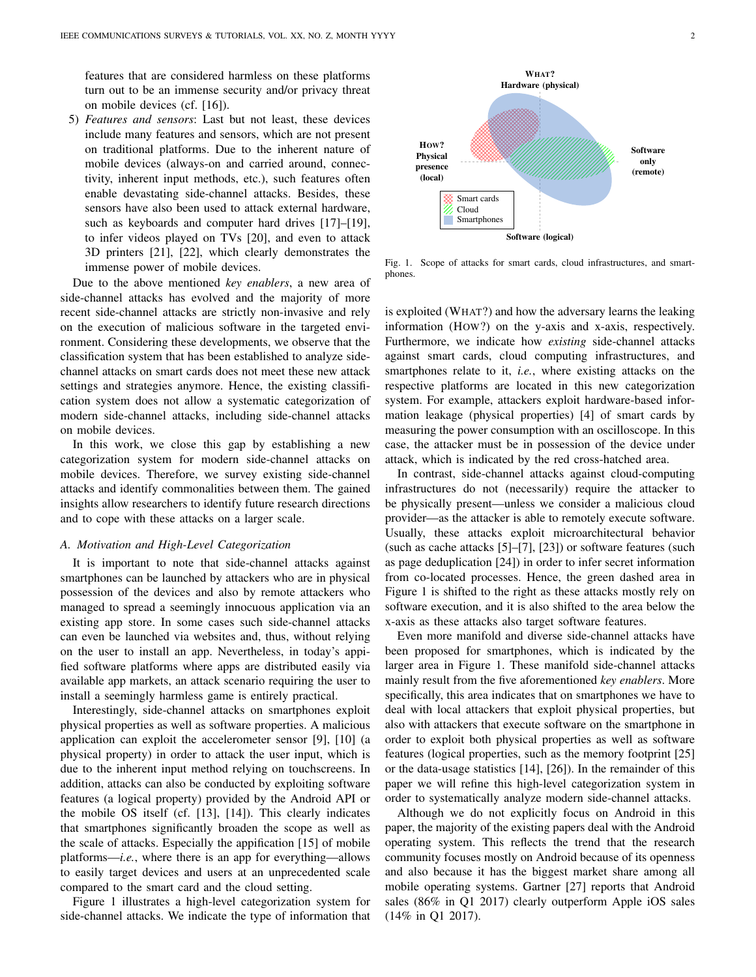features that are considered harmless on these platforms turn out to be an immense security and/or privacy threat on mobile devices (cf. [\[16\]](#page-19-13)).

5) *Features and sensors*: Last but not least, these devices include many features and sensors, which are not present on traditional platforms. Due to the inherent nature of mobile devices (always-on and carried around, connectivity, inherent input methods, etc.), such features often enable devastating side-channel attacks. Besides, these sensors have also been used to attack external hardware, such as keyboards and computer hard drives [\[17\]](#page-19-14)–[\[19\]](#page-19-15), to infer videos played on TVs [\[20\]](#page-19-16), and even to attack 3D printers [\[21\]](#page-19-17), [\[22\]](#page-20-0), which clearly demonstrates the immense power of mobile devices.

Due to the above mentioned *key enablers*, a new area of side-channel attacks has evolved and the majority of more recent side-channel attacks are strictly non-invasive and rely on the execution of malicious software in the targeted environment. Considering these developments, we observe that the classification system that has been established to analyze sidechannel attacks on smart cards does not meet these new attack settings and strategies anymore. Hence, the existing classification system does not allow a systematic categorization of modern side-channel attacks, including side-channel attacks on mobile devices.

In this work, we close this gap by establishing a new categorization system for modern side-channel attacks on mobile devices. Therefore, we survey existing side-channel attacks and identify commonalities between them. The gained insights allow researchers to identify future research directions and to cope with these attacks on a larger scale.

#### *A. Motivation and High-Level Categorization*

It is important to note that side-channel attacks against smartphones can be launched by attackers who are in physical possession of the devices and also by remote attackers who managed to spread a seemingly innocuous application via an existing app store. In some cases such side-channel attacks can even be launched via websites and, thus, without relying on the user to install an app. Nevertheless, in today's appified software platforms where apps are distributed easily via available app markets, an attack scenario requiring the user to install a seemingly harmless game is entirely practical.

Interestingly, side-channel attacks on smartphones exploit physical properties as well as software properties. A malicious application can exploit the accelerometer sensor [\[9\]](#page-19-7), [\[10\]](#page-19-18) (a physical property) in order to attack the user input, which is due to the inherent input method relying on touchscreens. In addition, attacks can also be conducted by exploiting software features (a logical property) provided by the Android API or the mobile OS itself (cf. [\[13\]](#page-19-10), [\[14\]](#page-19-11)). This clearly indicates that smartphones significantly broaden the scope as well as the scale of attacks. Especially the appification [\[15\]](#page-19-12) of mobile platforms—*i.e.*, where there is an app for everything—allows to easily target devices and users at an unprecedented scale compared to the smart card and the cloud setting.

Figure [1](#page-1-0) illustrates a high-level categorization system for side-channel attacks. We indicate the type of information that



<span id="page-1-0"></span>Fig. 1. Scope of attacks for smart cards, cloud infrastructures, and smartphones.

is exploited (WHAT?) and how the adversary learns the leaking information (HOW?) on the y-axis and x-axis, respectively. Furthermore, we indicate how *existing* side-channel attacks against smart cards, cloud computing infrastructures, and smartphones relate to it, *i.e.*, where existing attacks on the respective platforms are located in this new categorization system. For example, attackers exploit hardware-based information leakage (physical properties) [\[4\]](#page-19-3) of smart cards by measuring the power consumption with an oscilloscope. In this case, the attacker must be in possession of the device under attack, which is indicated by the red cross-hatched area.

In contrast, side-channel attacks against cloud-computing infrastructures do not (necessarily) require the attacker to be physically present—unless we consider a malicious cloud provider—as the attacker is able to remotely execute software. Usually, these attacks exploit microarchitectural behavior (such as cache attacks [\[5\]](#page-19-4)–[\[7\]](#page-19-5), [\[23\]](#page-20-1)) or software features (such as page deduplication [\[24\]](#page-20-2)) in order to infer secret information from co-located processes. Hence, the green dashed area in Figure [1](#page-1-0) is shifted to the right as these attacks mostly rely on software execution, and it is also shifted to the area below the x-axis as these attacks also target software features.

Even more manifold and diverse side-channel attacks have been proposed for smartphones, which is indicated by the larger area in Figure [1.](#page-1-0) These manifold side-channel attacks mainly result from the five aforementioned *key enablers*. More specifically, this area indicates that on smartphones we have to deal with local attackers that exploit physical properties, but also with attackers that execute software on the smartphone in order to exploit both physical properties as well as software features (logical properties, such as the memory footprint [\[25\]](#page-20-3) or the data-usage statistics [\[14\]](#page-19-11), [\[26\]](#page-20-4)). In the remainder of this paper we will refine this high-level categorization system in order to systematically analyze modern side-channel attacks.

Although we do not explicitly focus on Android in this paper, the majority of the existing papers deal with the Android operating system. This reflects the trend that the research community focuses mostly on Android because of its openness and also because it has the biggest market share among all mobile operating systems. Gartner [\[27\]](#page-20-5) reports that Android sales (86% in Q1 2017) clearly outperform Apple iOS sales (14% in Q1 2017).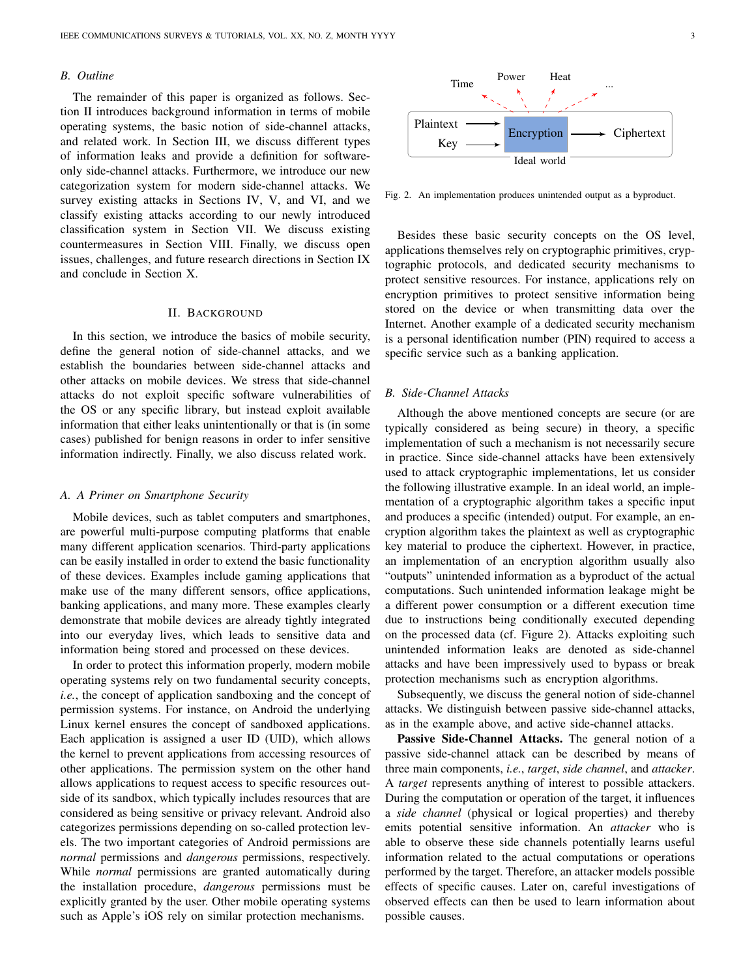### *B. Outline*

The remainder of this paper is organized as follows. Section [II](#page-2-0) introduces background information in terms of mobile operating systems, the basic notion of side-channel attacks, and related work. In Section [III,](#page-4-0) we discuss different types of information leaks and provide a definition for softwareonly side-channel attacks. Furthermore, we introduce our new categorization system for modern side-channel attacks. We survey existing attacks in Sections [IV,](#page-7-0) [V,](#page-10-0) and [VI,](#page-11-0) and we classify existing attacks according to our newly introduced classification system in Section [VII.](#page-14-0) We discuss existing countermeasures in Section [VIII.](#page-15-0) Finally, we discuss open issues, challenges, and future research directions in Section [IX](#page-17-0) and conclude in Section [X.](#page-19-19)

## II. BACKGROUND

<span id="page-2-0"></span>In this section, we introduce the basics of mobile security, define the general notion of side-channel attacks, and we establish the boundaries between side-channel attacks and other attacks on mobile devices. We stress that side-channel attacks do not exploit specific software vulnerabilities of the OS or any specific library, but instead exploit available information that either leaks unintentionally or that is (in some cases) published for benign reasons in order to infer sensitive information indirectly. Finally, we also discuss related work.

#### *A. A Primer on Smartphone Security*

Mobile devices, such as tablet computers and smartphones, are powerful multi-purpose computing platforms that enable many different application scenarios. Third-party applications can be easily installed in order to extend the basic functionality of these devices. Examples include gaming applications that make use of the many different sensors, office applications, banking applications, and many more. These examples clearly demonstrate that mobile devices are already tightly integrated into our everyday lives, which leads to sensitive data and information being stored and processed on these devices.

In order to protect this information properly, modern mobile operating systems rely on two fundamental security concepts, *i.e.*, the concept of application sandboxing and the concept of permission systems. For instance, on Android the underlying Linux kernel ensures the concept of sandboxed applications. Each application is assigned a user ID (UID), which allows the kernel to prevent applications from accessing resources of other applications. The permission system on the other hand allows applications to request access to specific resources outside of its sandbox, which typically includes resources that are considered as being sensitive or privacy relevant. Android also categorizes permissions depending on so-called protection levels. The two important categories of Android permissions are *normal* permissions and *dangerous* permissions, respectively. While *normal* permissions are granted automatically during the installation procedure, *dangerous* permissions must be explicitly granted by the user. Other mobile operating systems such as Apple's iOS rely on similar protection mechanisms.



<span id="page-2-1"></span>Fig. 2. An implementation produces unintended output as a byproduct.

Besides these basic security concepts on the OS level, applications themselves rely on cryptographic primitives, cryptographic protocols, and dedicated security mechanisms to protect sensitive resources. For instance, applications rely on encryption primitives to protect sensitive information being stored on the device or when transmitting data over the Internet. Another example of a dedicated security mechanism is a personal identification number (PIN) required to access a specific service such as a banking application.

#### *B. Side-Channel Attacks*

Although the above mentioned concepts are secure (or are typically considered as being secure) in theory, a specific implementation of such a mechanism is not necessarily secure in practice. Since side-channel attacks have been extensively used to attack cryptographic implementations, let us consider the following illustrative example. In an ideal world, an implementation of a cryptographic algorithm takes a specific input and produces a specific (intended) output. For example, an encryption algorithm takes the plaintext as well as cryptographic key material to produce the ciphertext. However, in practice, an implementation of an encryption algorithm usually also "outputs" unintended information as a byproduct of the actual computations. Such unintended information leakage might be a different power consumption or a different execution time due to instructions being conditionally executed depending on the processed data (cf. Figure [2\)](#page-2-1). Attacks exploiting such unintended information leaks are denoted as side-channel attacks and have been impressively used to bypass or break protection mechanisms such as encryption algorithms.

Subsequently, we discuss the general notion of side-channel attacks. We distinguish between passive side-channel attacks, as in the example above, and active side-channel attacks.

Passive Side-Channel Attacks. The general notion of a passive side-channel attack can be described by means of three main components, *i.e.*, *target*, *side channel*, and *attacker*. A *target* represents anything of interest to possible attackers. During the computation or operation of the target, it influences a *side channel* (physical or logical properties) and thereby emits potential sensitive information. An *attacker* who is able to observe these side channels potentially learns useful information related to the actual computations or operations performed by the target. Therefore, an attacker models possible effects of specific causes. Later on, careful investigations of observed effects can then be used to learn information about possible causes.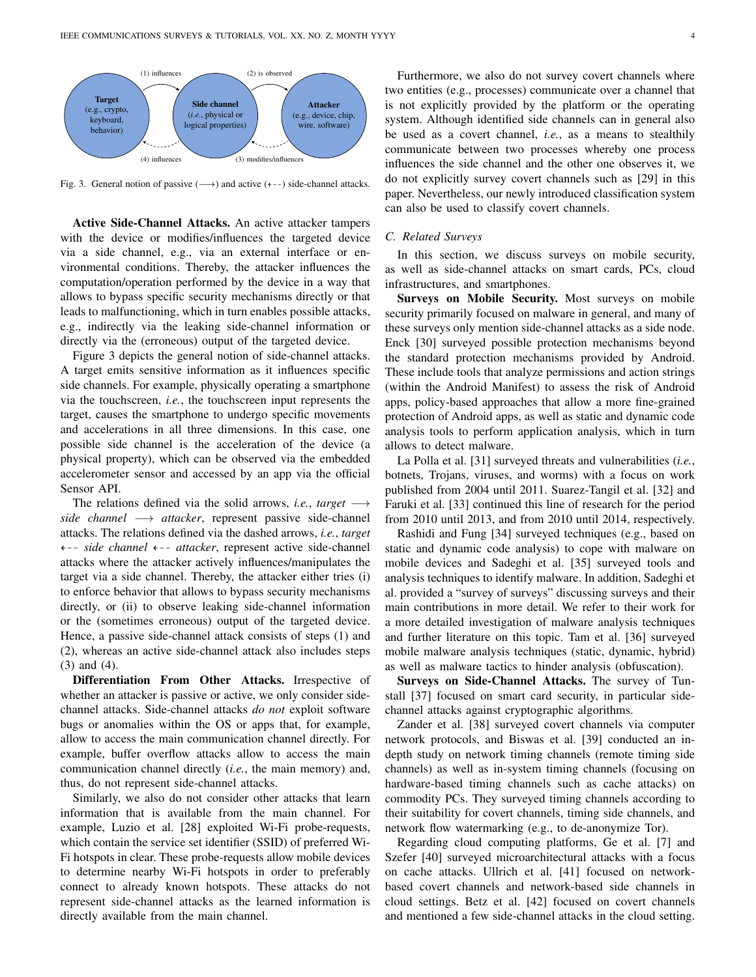

<span id="page-3-0"></span>Fig. 3. General notion of passive  $(\rightarrow)$  and active  $(\leftarrow-)$  side-channel attacks.

Active Side-Channel Attacks. An active attacker tampers with the device or modifies/influences the targeted device via a side channel, e.g., via an external interface or environmental conditions. Thereby, the attacker influences the computation/operation performed by the device in a way that allows to bypass specific security mechanisms directly or that leads to malfunctioning, which in turn enables possible attacks, e.g., indirectly via the leaking side-channel information or directly via the (erroneous) output of the targeted device.

Figure [3](#page-3-0) depicts the general notion of side-channel attacks. A target emits sensitive information as it influences specific side channels. For example, physically operating a smartphone via the touchscreen, *i.e.*, the touchscreen input represents the target, causes the smartphone to undergo specific movements and accelerations in all three dimensions. In this case, one possible side channel is the acceleration of the device (a physical property), which can be observed via the embedded accelerometer sensor and accessed by an app via the official Sensor API.

The relations defined via the solid arrows, *i.e.*, *target* → *side channel* −→ *attacker*, represent passive side-channel attacks. The relations defined via the dashed arrows, *i.e.*, *target* L99 *side channel* L99 *attacker*, represent active side-channel attacks where the attacker actively influences/manipulates the target via a side channel. Thereby, the attacker either tries (i) to enforce behavior that allows to bypass security mechanisms directly, or (ii) to observe leaking side-channel information or the (sometimes erroneous) output of the targeted device. Hence, a passive side-channel attack consists of steps (1) and (2), whereas an active side-channel attack also includes steps (3) and (4).

Differentiation From Other Attacks. Irrespective of whether an attacker is passive or active, we only consider sidechannel attacks. Side-channel attacks *do not* exploit software bugs or anomalies within the OS or apps that, for example, allow to access the main communication channel directly. For example, buffer overflow attacks allow to access the main communication channel directly (*i.e.*, the main memory) and, thus, do not represent side-channel attacks.

Similarly, we also do not consider other attacks that learn information that is available from the main channel. For example, Luzio et al. [\[28\]](#page-20-6) exploited Wi-Fi probe-requests, which contain the service set identifier (SSID) of preferred Wi-Fi hotspots in clear. These probe-requests allow mobile devices to determine nearby Wi-Fi hotspots in order to preferably connect to already known hotspots. These attacks do not represent side-channel attacks as the learned information is directly available from the main channel.

Furthermore, we also do not survey covert channels where two entities (e.g., processes) communicate over a channel that is not explicitly provided by the platform or the operating system. Although identified side channels can in general also be used as a covert channel, *i.e.*, as a means to stealthily communicate between two processes whereby one process influences the side channel and the other one observes it, we do not explicitly survey covert channels such as [\[29\]](#page-20-7) in this paper. Nevertheless, our newly introduced classification system can also be used to classify covert channels.

#### <span id="page-3-1"></span>*C. Related Surveys*

In this section, we discuss surveys on mobile security, as well as side-channel attacks on smart cards, PCs, cloud infrastructures, and smartphones.

Surveys on Mobile Security. Most surveys on mobile security primarily focused on malware in general, and many of these surveys only mention side-channel attacks as a side node. Enck [\[30\]](#page-20-8) surveyed possible protection mechanisms beyond the standard protection mechanisms provided by Android. These include tools that analyze permissions and action strings (within the Android Manifest) to assess the risk of Android apps, policy-based approaches that allow a more fine-grained protection of Android apps, as well as static and dynamic code analysis tools to perform application analysis, which in turn allows to detect malware.

La Polla et al. [\[31\]](#page-20-9) surveyed threats and vulnerabilities (*i.e.*, botnets, Trojans, viruses, and worms) with a focus on work published from 2004 until 2011. Suarez-Tangil et al. [\[32\]](#page-20-10) and Faruki et al. [\[33\]](#page-20-11) continued this line of research for the period from 2010 until 2013, and from 2010 until 2014, respectively.

Rashidi and Fung [\[34\]](#page-20-12) surveyed techniques (e.g., based on static and dynamic code analysis) to cope with malware on mobile devices and Sadeghi et al. [\[35\]](#page-20-13) surveyed tools and analysis techniques to identify malware. In addition, Sadeghi et al. provided a "survey of surveys" discussing surveys and their main contributions in more detail. We refer to their work for a more detailed investigation of malware analysis techniques and further literature on this topic. Tam et al. [\[36\]](#page-20-14) surveyed mobile malware analysis techniques (static, dynamic, hybrid) as well as malware tactics to hinder analysis (obfuscation).

Surveys on Side-Channel Attacks. The survey of Tunstall [\[37\]](#page-20-15) focused on smart card security, in particular sidechannel attacks against cryptographic algorithms.

Zander et al. [\[38\]](#page-20-16) surveyed covert channels via computer network protocols, and Biswas et al. [\[39\]](#page-20-17) conducted an indepth study on network timing channels (remote timing side channels) as well as in-system timing channels (focusing on hardware-based timing channels such as cache attacks) on commodity PCs. They surveyed timing channels according to their suitability for covert channels, timing side channels, and network flow watermarking (e.g., to de-anonymize Tor).

Regarding cloud computing platforms, Ge et al. [\[7\]](#page-19-5) and Szefer [\[40\]](#page-20-18) surveyed microarchitectural attacks with a focus on cache attacks. Ullrich et al. [\[41\]](#page-20-19) focused on networkbased covert channels and network-based side channels in cloud settings. Betz et al. [\[42\]](#page-20-20) focused on covert channels and mentioned a few side-channel attacks in the cloud setting.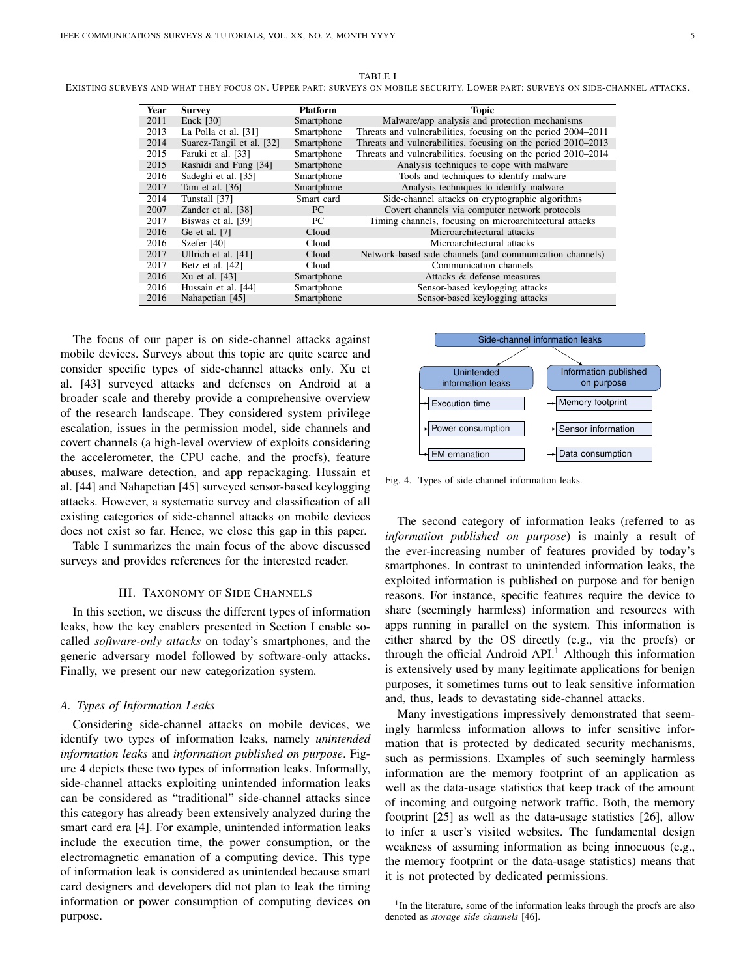<span id="page-4-1"></span>

| TABLE I<br>Existing surveys and what they focus on. Upper part: surveys on mobile security. Lower part: surveys on side-channel attacks. |      |                            |                 |                                                                 |  |  |  |  |
|------------------------------------------------------------------------------------------------------------------------------------------|------|----------------------------|-----------------|-----------------------------------------------------------------|--|--|--|--|
|                                                                                                                                          | Year | <b>Survey</b>              | <b>Platform</b> | Topic                                                           |  |  |  |  |
|                                                                                                                                          | 2011 | <b>Enck [30]</b>           | Smartphone      | Malware/app analysis and protection mechanisms                  |  |  |  |  |
|                                                                                                                                          | 2013 | La Polla et al. [31]       | Smartphone      | Threats and vulnerabilities, focusing on the period 2004–2011   |  |  |  |  |
|                                                                                                                                          | 2014 | Suggest Toppel of all [22] | $S$ mortphono   | Throate and vulnerabilities, focusing on the next of 2010, 2012 |  |  |  |  |

| 2011 | $Enck$ [30]               | Smartphone | Malware/app analysis and protection mechanisms                |
|------|---------------------------|------------|---------------------------------------------------------------|
| 2013 | La Polla et al. [31]      | Smartphone | Threats and vulnerabilities, focusing on the period 2004–2011 |
| 2014 | Suarez-Tangil et al. [32] | Smartphone | Threats and vulnerabilities, focusing on the period 2010–2013 |
| 2015 | Faruki et al. [33]        | Smartphone | Threats and vulnerabilities, focusing on the period 2010–2014 |
| 2015 | Rashidi and Fung [34]     | Smartphone | Analysis techniques to cope with malware                      |
| 2016 | Sadeghi et al. [35]       | Smartphone | Tools and techniques to identify malware                      |
| 2017 | Tam et al. $[36]$         | Smartphone | Analysis techniques to identify malware                       |
| 2014 | Tunstall [37]             | Smart card | Side-channel attacks on cryptographic algorithms              |
| 2007 | Zander et al. [38]        | РC         | Covert channels via computer network protocols                |
| 2017 | Biswas et al. [39]        | PС         | Timing channels, focusing on microarchitectural attacks       |
| 2016 | Ge et al. [7]             | Cloud      | Microarchitectural attacks                                    |
| 2016 | Szefer [40]               | Cloud      | Microarchitectural attacks                                    |
| 2017 | Ullrich et al. [41]       | Cloud      | Network-based side channels (and communication channels)      |
| 2017 | Betz et al. [42]          | Cloud      | Communication channels                                        |
| 2016 | Xu et al. [43]            | Smartphone | Attacks & defense measures                                    |
| 2016 | Hussain et al. [44]       | Smartphone | Sensor-based keylogging attacks                               |
| 2016 | Nahapetian [45]           | Smartphone | Sensor-based keylogging attacks                               |

The focus of our paper is on side-channel attacks against mobile devices. Surveys about this topic are quite scarce and consider specific types of side-channel attacks only. Xu et al. [\[43\]](#page-20-21) surveyed attacks and defenses on Android at a broader scale and thereby provide a comprehensive overview of the research landscape. They considered system privilege escalation, issues in the permission model, side channels and covert channels (a high-level overview of exploits considering the accelerometer, the CPU cache, and the procfs), feature abuses, malware detection, and app repackaging. Hussain et al. [\[44\]](#page-20-22) and Nahapetian [\[45\]](#page-20-23) surveyed sensor-based keylogging attacks. However, a systematic survey and classification of all existing categories of side-channel attacks on mobile devices does not exist so far. Hence, we close this gap in this paper.

Table [I](#page-4-1) summarizes the main focus of the above discussed surveys and provides references for the interested reader.

## III. TAXONOMY OF SIDE CHANNELS

<span id="page-4-0"></span>In this section, we discuss the different types of information leaks, how the key enablers presented in Section [I](#page-0-0) enable socalled *software-only attacks* on today's smartphones, and the generic adversary model followed by software-only attacks. Finally, we present our new categorization system.

#### *A. Types of Information Leaks*

 $\overline{\phantom{a}}$ 

Considering side-channel attacks on mobile devices, we identify two types of information leaks, namely *unintended information leaks* and *information published on purpose*. Figure [4](#page-4-2) depicts these two types of information leaks. Informally, side-channel attacks exploiting unintended information leaks can be considered as "traditional" side-channel attacks since this category has already been extensively analyzed during the smart card era [\[4\]](#page-19-3). For example, unintended information leaks include the execution time, the power consumption, or the electromagnetic emanation of a computing device. This type of information leak is considered as unintended because smart card designers and developers did not plan to leak the timing information or power consumption of computing devices on purpose.



<span id="page-4-2"></span>Fig. 4. Types of side-channel information leaks.

The second category of information leaks (referred to as *information published on purpose*) is mainly a result of the ever-increasing number of features provided by today's smartphones. In contrast to unintended information leaks, the exploited information is published on purpose and for benign reasons. For instance, specific features require the device to share (seemingly harmless) information and resources with apps running in parallel on the system. This information is either shared by the OS directly (e.g., via the procfs) or through the official Android  $API.$ <sup>[1](#page-4-3)</sup> Although this information is extensively used by many legitimate applications for benign purposes, it sometimes turns out to leak sensitive information and, thus, leads to devastating side-channel attacks.

Many investigations impressively demonstrated that seemingly harmless information allows to infer sensitive information that is protected by dedicated security mechanisms, such as permissions. Examples of such seemingly harmless information are the memory footprint of an application as well as the data-usage statistics that keep track of the amount of incoming and outgoing network traffic. Both, the memory footprint [\[25\]](#page-20-3) as well as the data-usage statistics [\[26\]](#page-20-4), allow to infer a user's visited websites. The fundamental design weakness of assuming information as being innocuous (e.g., the memory footprint or the data-usage statistics) means that it is not protected by dedicated permissions.

<span id="page-4-3"></span><sup>1</sup>In the literature, some of the information leaks through the procfs are also denoted as *storage side channels* [\[46\]](#page-20-24).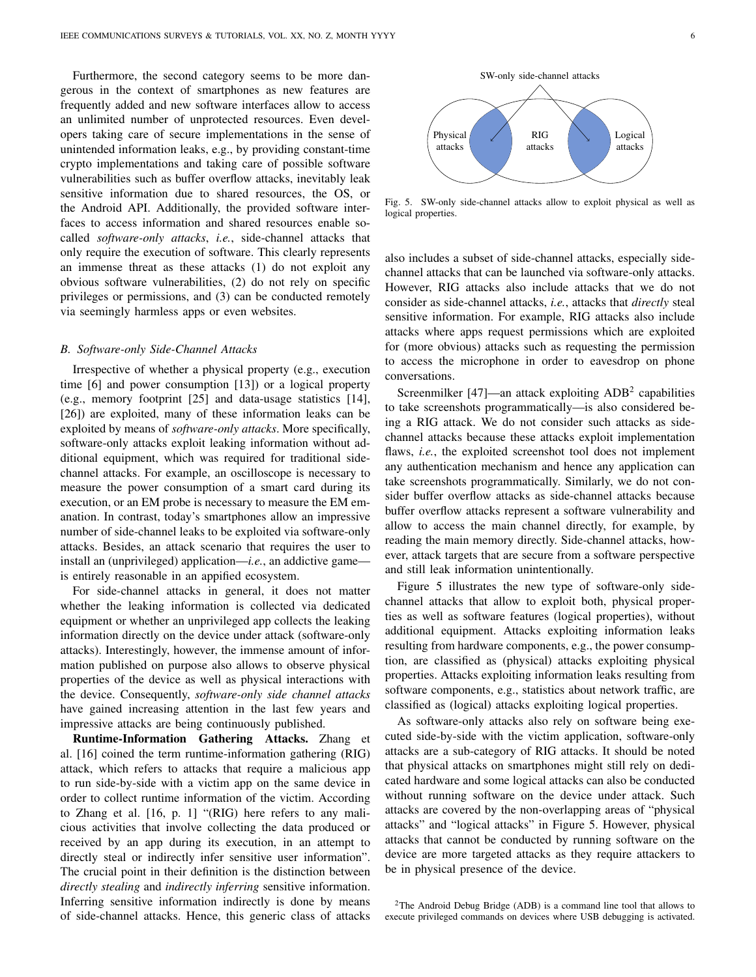Furthermore, the second category seems to be more dangerous in the context of smartphones as new features are frequently added and new software interfaces allow to access an unlimited number of unprotected resources. Even developers taking care of secure implementations in the sense of unintended information leaks, e.g., by providing constant-time crypto implementations and taking care of possible software vulnerabilities such as buffer overflow attacks, inevitably leak sensitive information due to shared resources, the OS, or the Android API. Additionally, the provided software interfaces to access information and shared resources enable socalled *software-only attacks*, *i.e.*, side-channel attacks that only require the execution of software. This clearly represents an immense threat as these attacks (1) do not exploit any obvious software vulnerabilities, (2) do not rely on specific privileges or permissions, and (3) can be conducted remotely via seemingly harmless apps or even websites.

#### *B. Software-only Side-Channel Attacks*

Irrespective of whether a physical property (e.g., execution time [\[6\]](#page-19-20) and power consumption [\[13\]](#page-19-10)) or a logical property (e.g., memory footprint [\[25\]](#page-20-3) and data-usage statistics [\[14\]](#page-19-11), [\[26\]](#page-20-4)) are exploited, many of these information leaks can be exploited by means of *software-only attacks*. More specifically, software-only attacks exploit leaking information without additional equipment, which was required for traditional sidechannel attacks. For example, an oscilloscope is necessary to measure the power consumption of a smart card during its execution, or an EM probe is necessary to measure the EM emanation. In contrast, today's smartphones allow an impressive number of side-channel leaks to be exploited via software-only attacks. Besides, an attack scenario that requires the user to install an (unprivileged) application—*i.e.*, an addictive game is entirely reasonable in an appified ecosystem.

For side-channel attacks in general, it does not matter whether the leaking information is collected via dedicated equipment or whether an unprivileged app collects the leaking information directly on the device under attack (software-only attacks). Interestingly, however, the immense amount of information published on purpose also allows to observe physical properties of the device as well as physical interactions with the device. Consequently, *software-only side channel attacks* have gained increasing attention in the last few years and impressive attacks are being continuously published.

Runtime-Information Gathering Attacks. Zhang et al. [\[16\]](#page-19-13) coined the term runtime-information gathering (RIG) attack, which refers to attacks that require a malicious app to run side-by-side with a victim app on the same device in order to collect runtime information of the victim. According to Zhang et al. [\[16,](#page-19-13) p. 1] "(RIG) here refers to any malicious activities that involve collecting the data produced or received by an app during its execution, in an attempt to directly steal or indirectly infer sensitive user information". The crucial point in their definition is the distinction between *directly stealing* and *indirectly inferring* sensitive information. Inferring sensitive information indirectly is done by means of side-channel attacks. Hence, this generic class of attacks



<span id="page-5-1"></span>Fig. 5. SW-only side-channel attacks allow to exploit physical as well as logical properties.

also includes a subset of side-channel attacks, especially sidechannel attacks that can be launched via software-only attacks. However, RIG attacks also include attacks that we do not consider as side-channel attacks, *i.e.*, attacks that *directly* steal sensitive information. For example, RIG attacks also include attacks where apps request permissions which are exploited for (more obvious) attacks such as requesting the permission to access the microphone in order to eavesdrop on phone conversations.

Screenmilker [\[47\]](#page-20-25)—an attack exploiting  $ADB<sup>2</sup>$  $ADB<sup>2</sup>$  $ADB<sup>2</sup>$  capabilities to take screenshots programmatically—is also considered being a RIG attack. We do not consider such attacks as sidechannel attacks because these attacks exploit implementation flaws, *i.e.*, the exploited screenshot tool does not implement any authentication mechanism and hence any application can take screenshots programmatically. Similarly, we do not consider buffer overflow attacks as side-channel attacks because buffer overflow attacks represent a software vulnerability and allow to access the main channel directly, for example, by reading the main memory directly. Side-channel attacks, however, attack targets that are secure from a software perspective and still leak information unintentionally.

Figure [5](#page-5-1) illustrates the new type of software-only sidechannel attacks that allow to exploit both, physical properties as well as software features (logical properties), without additional equipment. Attacks exploiting information leaks resulting from hardware components, e.g., the power consumption, are classified as (physical) attacks exploiting physical properties. Attacks exploiting information leaks resulting from software components, e.g., statistics about network traffic, are classified as (logical) attacks exploiting logical properties.

As software-only attacks also rely on software being executed side-by-side with the victim application, software-only attacks are a sub-category of RIG attacks. It should be noted that physical attacks on smartphones might still rely on dedicated hardware and some logical attacks can also be conducted without running software on the device under attack. Such attacks are covered by the non-overlapping areas of "physical attacks" and "logical attacks" in Figure [5.](#page-5-1) However, physical attacks that cannot be conducted by running software on the device are more targeted attacks as they require attackers to be in physical presence of the device.

<span id="page-5-0"></span><sup>2</sup>The Android Debug Bridge (ADB) is a command line tool that allows to execute privileged commands on devices where USB debugging is activated.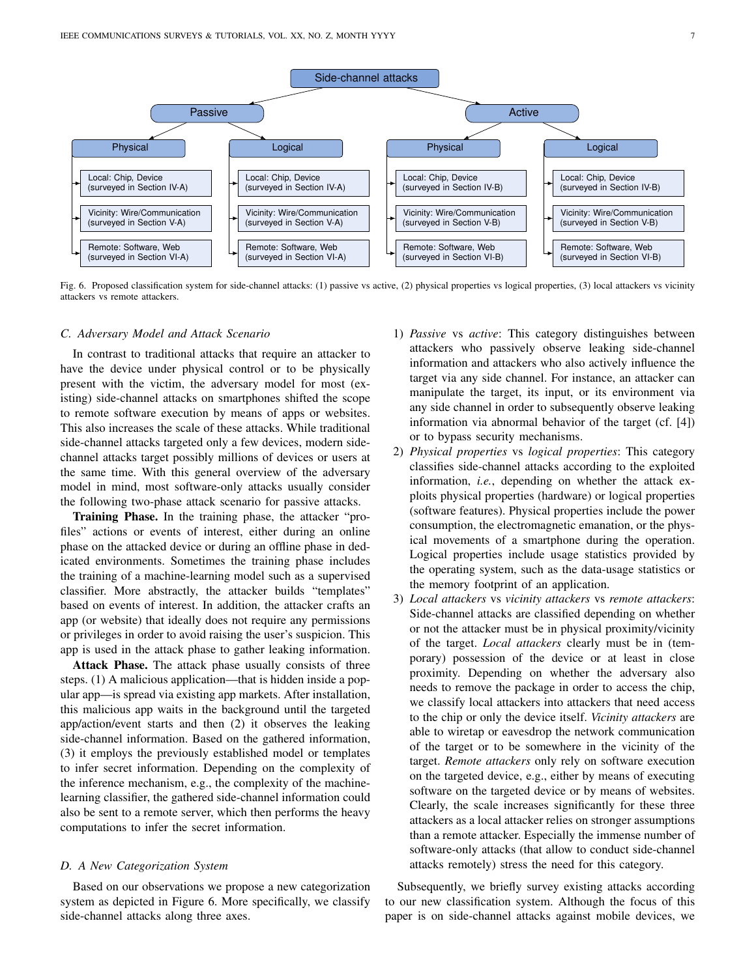

<span id="page-6-0"></span>Fig. 6. Proposed classification system for side-channel attacks: (1) passive vs active, (2) physical properties vs logical properties, (3) local attackers vs vicinity attackers vs remote attackers.

#### *C. Adversary Model and Attack Scenario*

In contrast to traditional attacks that require an attacker to have the device under physical control or to be physically present with the victim, the adversary model for most (existing) side-channel attacks on smartphones shifted the scope to remote software execution by means of apps or websites. This also increases the scale of these attacks. While traditional side-channel attacks targeted only a few devices, modern sidechannel attacks target possibly millions of devices or users at the same time. With this general overview of the adversary model in mind, most software-only attacks usually consider the following two-phase attack scenario for passive attacks.

Training Phase. In the training phase, the attacker "profiles" actions or events of interest, either during an online phase on the attacked device or during an offline phase in dedicated environments. Sometimes the training phase includes the training of a machine-learning model such as a supervised classifier. More abstractly, the attacker builds "templates" based on events of interest. In addition, the attacker crafts an app (or website) that ideally does not require any permissions or privileges in order to avoid raising the user's suspicion. This app is used in the attack phase to gather leaking information.

Attack Phase. The attack phase usually consists of three steps. (1) A malicious application—that is hidden inside a popular app—is spread via existing app markets. After installation, this malicious app waits in the background until the targeted app/action/event starts and then (2) it observes the leaking side-channel information. Based on the gathered information, (3) it employs the previously established model or templates to infer secret information. Depending on the complexity of the inference mechanism, e.g., the complexity of the machinelearning classifier, the gathered side-channel information could also be sent to a remote server, which then performs the heavy computations to infer the secret information.

#### *D. A New Categorization System*

Based on our observations we propose a new categorization system as depicted in Figure [6.](#page-6-0) More specifically, we classify side-channel attacks along three axes.

- 1) *Passive* vs *active*: This category distinguishes between attackers who passively observe leaking side-channel information and attackers who also actively influence the target via any side channel. For instance, an attacker can manipulate the target, its input, or its environment via any side channel in order to subsequently observe leaking information via abnormal behavior of the target (cf. [\[4\]](#page-19-3)) or to bypass security mechanisms.
- 2) *Physical properties* vs *logical properties*: This category classifies side-channel attacks according to the exploited information, *i.e.*, depending on whether the attack exploits physical properties (hardware) or logical properties (software features). Physical properties include the power consumption, the electromagnetic emanation, or the physical movements of a smartphone during the operation. Logical properties include usage statistics provided by the operating system, such as the data-usage statistics or the memory footprint of an application.
- 3) *Local attackers* vs *vicinity attackers* vs *remote attackers*: Side-channel attacks are classified depending on whether or not the attacker must be in physical proximity/vicinity of the target. *Local attackers* clearly must be in (temporary) possession of the device or at least in close proximity. Depending on whether the adversary also needs to remove the package in order to access the chip, we classify local attackers into attackers that need access to the chip or only the device itself. *Vicinity attackers* are able to wiretap or eavesdrop the network communication of the target or to be somewhere in the vicinity of the target. *Remote attackers* only rely on software execution on the targeted device, e.g., either by means of executing software on the targeted device or by means of websites. Clearly, the scale increases significantly for these three attackers as a local attacker relies on stronger assumptions than a remote attacker. Especially the immense number of software-only attacks (that allow to conduct side-channel attacks remotely) stress the need for this category.

Subsequently, we briefly survey existing attacks according to our new classification system. Although the focus of this paper is on side-channel attacks against mobile devices, we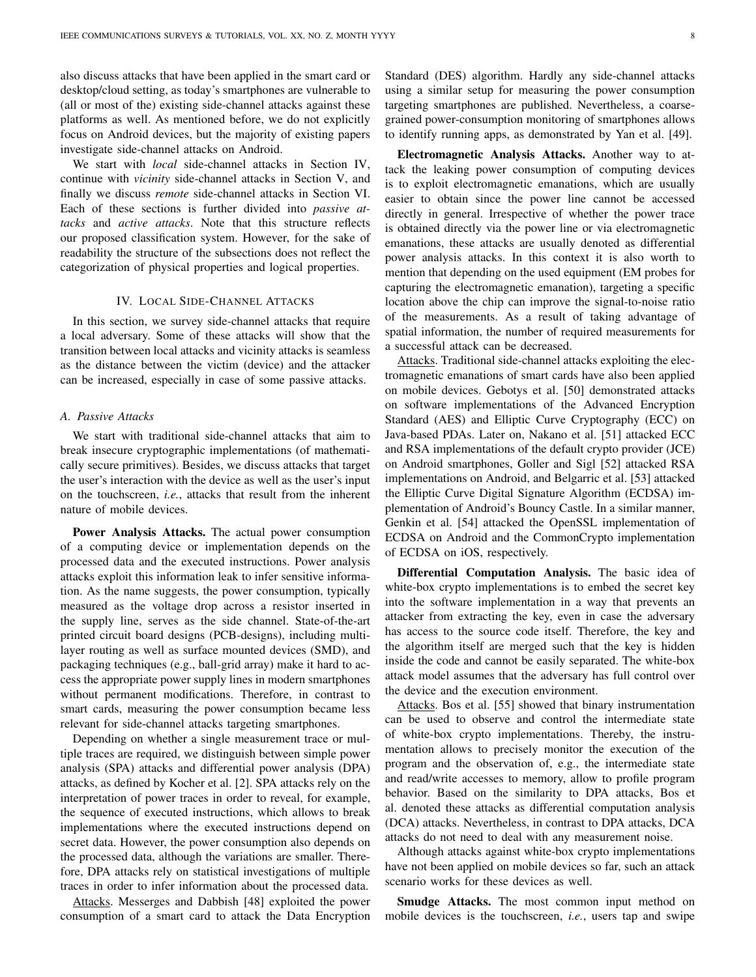also discuss attacks that have been applied in the smart card or desktop/cloud setting, as today's smartphones are vulnerable to (all or most of the) existing side-channel attacks against these platforms as well. As mentioned before, we do not explicitly focus on Android devices, but the majority of existing papers investigate side-channel attacks on Android.

We start with *local* side-channel attacks in Section [IV,](#page-7-0) continue with *vicinity* side-channel attacks in Section [V,](#page-10-0) and finally we discuss *remote* side-channel attacks in Section [VI.](#page-11-0) Each of these sections is further divided into *passive attacks* and *active attacks*. Note that this structure reflects our proposed classification system. However, for the sake of readability the structure of the subsections does not reflect the categorization of physical properties and logical properties.

## IV. LOCAL SIDE-CHANNEL ATTACKS

<span id="page-7-0"></span>In this section, we survey side-channel attacks that require a local adversary. Some of these attacks will show that the transition between local attacks and vicinity attacks is seamless as the distance between the victim (device) and the attacker can be increased, especially in case of some passive attacks.

#### <span id="page-7-1"></span>*A. Passive Attacks*

We start with traditional side-channel attacks that aim to break insecure cryptographic implementations (of mathematically secure primitives). Besides, we discuss attacks that target the user's interaction with the device as well as the user's input on the touchscreen, *i.e.*, attacks that result from the inherent nature of mobile devices.

Power Analysis Attacks. The actual power consumption of a computing device or implementation depends on the processed data and the executed instructions. Power analysis attacks exploit this information leak to infer sensitive information. As the name suggests, the power consumption, typically measured as the voltage drop across a resistor inserted in the supply line, serves as the side channel. State-of-the-art printed circuit board designs (PCB-designs), including multilayer routing as well as surface mounted devices (SMD), and packaging techniques (e.g., ball-grid array) make it hard to access the appropriate power supply lines in modern smartphones without permanent modifications. Therefore, in contrast to smart cards, measuring the power consumption became less relevant for side-channel attacks targeting smartphones.

Depending on whether a single measurement trace or multiple traces are required, we distinguish between simple power analysis (SPA) attacks and differential power analysis (DPA) attacks, as defined by Kocher et al. [\[2\]](#page-19-1). SPA attacks rely on the interpretation of power traces in order to reveal, for example, the sequence of executed instructions, which allows to break implementations where the executed instructions depend on secret data. However, the power consumption also depends on the processed data, although the variations are smaller. Therefore, DPA attacks rely on statistical investigations of multiple traces in order to infer information about the processed data.

Attacks. Messerges and Dabbish [\[48\]](#page-20-26) exploited the power consumption of a smart card to attack the Data Encryption Standard (DES) algorithm. Hardly any side-channel attacks using a similar setup for measuring the power consumption targeting smartphones are published. Nevertheless, a coarsegrained power-consumption monitoring of smartphones allows to identify running apps, as demonstrated by Yan et al. [\[49\]](#page-20-27).

Electromagnetic Analysis Attacks. Another way to attack the leaking power consumption of computing devices is to exploit electromagnetic emanations, which are usually easier to obtain since the power line cannot be accessed directly in general. Irrespective of whether the power trace is obtained directly via the power line or via electromagnetic emanations, these attacks are usually denoted as differential power analysis attacks. In this context it is also worth to mention that depending on the used equipment (EM probes for capturing the electromagnetic emanation), targeting a specific location above the chip can improve the signal-to-noise ratio of the measurements. As a result of taking advantage of spatial information, the number of required measurements for a successful attack can be decreased.

Attacks. Traditional side-channel attacks exploiting the electromagnetic emanations of smart cards have also been applied on mobile devices. Gebotys et al. [\[50\]](#page-20-28) demonstrated attacks on software implementations of the Advanced Encryption Standard (AES) and Elliptic Curve Cryptography (ECC) on Java-based PDAs. Later on, Nakano et al. [\[51\]](#page-20-29) attacked ECC and RSA implementations of the default crypto provider (JCE) on Android smartphones, Goller and Sigl [\[52\]](#page-20-30) attacked RSA implementations on Android, and Belgarric et al. [\[53\]](#page-20-31) attacked the Elliptic Curve Digital Signature Algorithm (ECDSA) implementation of Android's Bouncy Castle. In a similar manner, Genkin et al. [\[54\]](#page-20-32) attacked the OpenSSL implementation of ECDSA on Android and the CommonCrypto implementation of ECDSA on iOS, respectively.

Differential Computation Analysis. The basic idea of white-box crypto implementations is to embed the secret key into the software implementation in a way that prevents an attacker from extracting the key, even in case the adversary has access to the source code itself. Therefore, the key and the algorithm itself are merged such that the key is hidden inside the code and cannot be easily separated. The white-box attack model assumes that the adversary has full control over the device and the execution environment.

Attacks. Bos et al. [\[55\]](#page-20-33) showed that binary instrumentation can be used to observe and control the intermediate state of white-box crypto implementations. Thereby, the instrumentation allows to precisely monitor the execution of the program and the observation of, e.g., the intermediate state and read/write accesses to memory, allow to profile program behavior. Based on the similarity to DPA attacks, Bos et al. denoted these attacks as differential computation analysis (DCA) attacks. Nevertheless, in contrast to DPA attacks, DCA attacks do not need to deal with any measurement noise.

Although attacks against white-box crypto implementations have not been applied on mobile devices so far, such an attack scenario works for these devices as well.

Smudge Attacks. The most common input method on mobile devices is the touchscreen, *i.e.*, users tap and swipe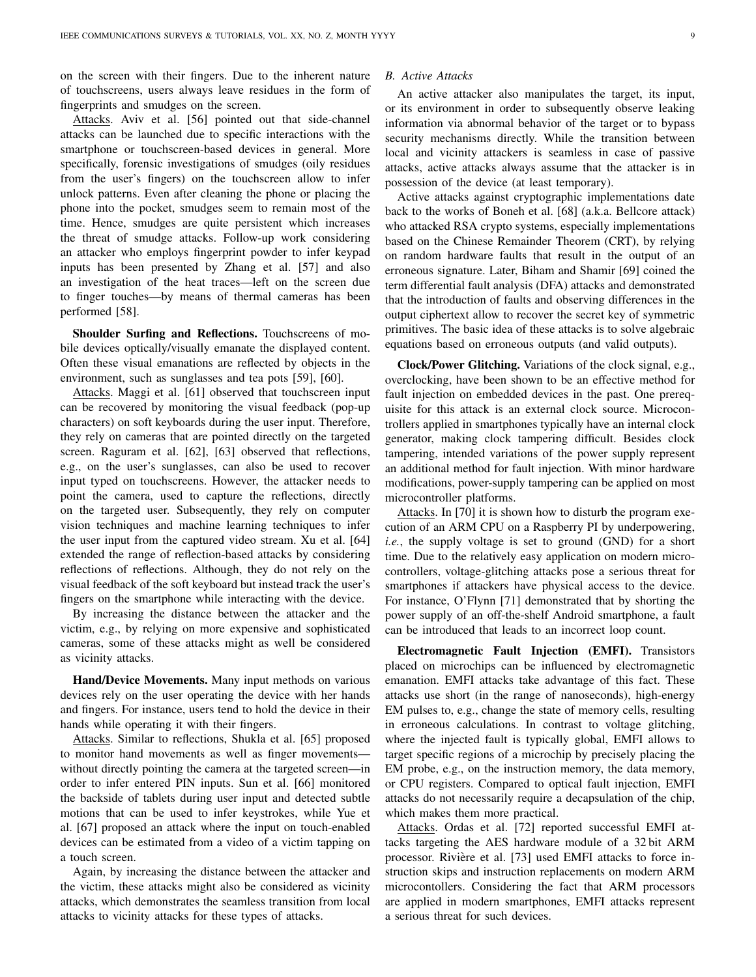on the screen with their fingers. Due to the inherent nature of touchscreens, users always leave residues in the form of fingerprints and smudges on the screen.

Attacks. Aviv et al. [\[56\]](#page-20-34) pointed out that side-channel attacks can be launched due to specific interactions with the smartphone or touchscreen-based devices in general. More specifically, forensic investigations of smudges (oily residues from the user's fingers) on the touchscreen allow to infer unlock patterns. Even after cleaning the phone or placing the phone into the pocket, smudges seem to remain most of the time. Hence, smudges are quite persistent which increases the threat of smudge attacks. Follow-up work considering an attacker who employs fingerprint powder to infer keypad inputs has been presented by Zhang et al. [\[57\]](#page-20-35) and also an investigation of the heat traces—left on the screen due to finger touches—by means of thermal cameras has been performed [\[58\]](#page-20-36).

Shoulder Surfing and Reflections. Touchscreens of mobile devices optically/visually emanate the displayed content. Often these visual emanations are reflected by objects in the environment, such as sunglasses and tea pots [\[59\]](#page-20-37), [\[60\]](#page-20-38).

Attacks. Maggi et al. [\[61\]](#page-20-39) observed that touchscreen input can be recovered by monitoring the visual feedback (pop-up characters) on soft keyboards during the user input. Therefore, they rely on cameras that are pointed directly on the targeted screen. Raguram et al. [\[62\]](#page-20-40), [\[63\]](#page-20-41) observed that reflections, e.g., on the user's sunglasses, can also be used to recover input typed on touchscreens. However, the attacker needs to point the camera, used to capture the reflections, directly on the targeted user. Subsequently, they rely on computer vision techniques and machine learning techniques to infer the user input from the captured video stream. Xu et al. [\[64\]](#page-20-42) extended the range of reflection-based attacks by considering reflections of reflections. Although, they do not rely on the visual feedback of the soft keyboard but instead track the user's fingers on the smartphone while interacting with the device.

By increasing the distance between the attacker and the victim, e.g., by relying on more expensive and sophisticated cameras, some of these attacks might as well be considered as vicinity attacks.

Hand/Device Movements. Many input methods on various devices rely on the user operating the device with her hands and fingers. For instance, users tend to hold the device in their hands while operating it with their fingers.

Attacks. Similar to reflections, Shukla et al. [\[65\]](#page-21-0) proposed to monitor hand movements as well as finger movements without directly pointing the camera at the targeted screen—in order to infer entered PIN inputs. Sun et al. [\[66\]](#page-21-1) monitored the backside of tablets during user input and detected subtle motions that can be used to infer keystrokes, while Yue et al. [\[67\]](#page-21-2) proposed an attack where the input on touch-enabled devices can be estimated from a video of a victim tapping on a touch screen.

Again, by increasing the distance between the attacker and the victim, these attacks might also be considered as vicinity attacks, which demonstrates the seamless transition from local attacks to vicinity attacks for these types of attacks.

# <span id="page-8-0"></span>*B. Active Attacks*

An active attacker also manipulates the target, its input, or its environment in order to subsequently observe leaking information via abnormal behavior of the target or to bypass security mechanisms directly. While the transition between local and vicinity attackers is seamless in case of passive attacks, active attacks always assume that the attacker is in possession of the device (at least temporary).

Active attacks against cryptographic implementations date back to the works of Boneh et al. [\[68\]](#page-21-3) (a.k.a. Bellcore attack) who attacked RSA crypto systems, especially implementations based on the Chinese Remainder Theorem (CRT), by relying on random hardware faults that result in the output of an erroneous signature. Later, Biham and Shamir [\[69\]](#page-21-4) coined the term differential fault analysis (DFA) attacks and demonstrated that the introduction of faults and observing differences in the output ciphertext allow to recover the secret key of symmetric primitives. The basic idea of these attacks is to solve algebraic equations based on erroneous outputs (and valid outputs).

Clock/Power Glitching. Variations of the clock signal, e.g., overclocking, have been shown to be an effective method for fault injection on embedded devices in the past. One prerequisite for this attack is an external clock source. Microcontrollers applied in smartphones typically have an internal clock generator, making clock tampering difficult. Besides clock tampering, intended variations of the power supply represent an additional method for fault injection. With minor hardware modifications, power-supply tampering can be applied on most microcontroller platforms.

Attacks. In [\[70\]](#page-21-5) it is shown how to disturb the program execution of an ARM CPU on a Raspberry PI by underpowering, *i.e.*, the supply voltage is set to ground (GND) for a short time. Due to the relatively easy application on modern microcontrollers, voltage-glitching attacks pose a serious threat for smartphones if attackers have physical access to the device. For instance, O'Flynn [\[71\]](#page-21-6) demonstrated that by shorting the power supply of an off-the-shelf Android smartphone, a fault can be introduced that leads to an incorrect loop count.

Electromagnetic Fault Injection (EMFI). Transistors placed on microchips can be influenced by electromagnetic emanation. EMFI attacks take advantage of this fact. These attacks use short (in the range of nanoseconds), high-energy EM pulses to, e.g., change the state of memory cells, resulting in erroneous calculations. In contrast to voltage glitching, where the injected fault is typically global, EMFI allows to target specific regions of a microchip by precisely placing the EM probe, e.g., on the instruction memory, the data memory, or CPU registers. Compared to optical fault injection, EMFI attacks do not necessarily require a decapsulation of the chip, which makes them more practical.

Attacks. Ordas et al. [\[72\]](#page-21-7) reported successful EMFI attacks targeting the AES hardware module of a 32 bit ARM processor. Rivière et al. [\[73\]](#page-21-8) used EMFI attacks to force instruction skips and instruction replacements on modern ARM microcontollers. Considering the fact that ARM processors are applied in modern smartphones, EMFI attacks represent a serious threat for such devices.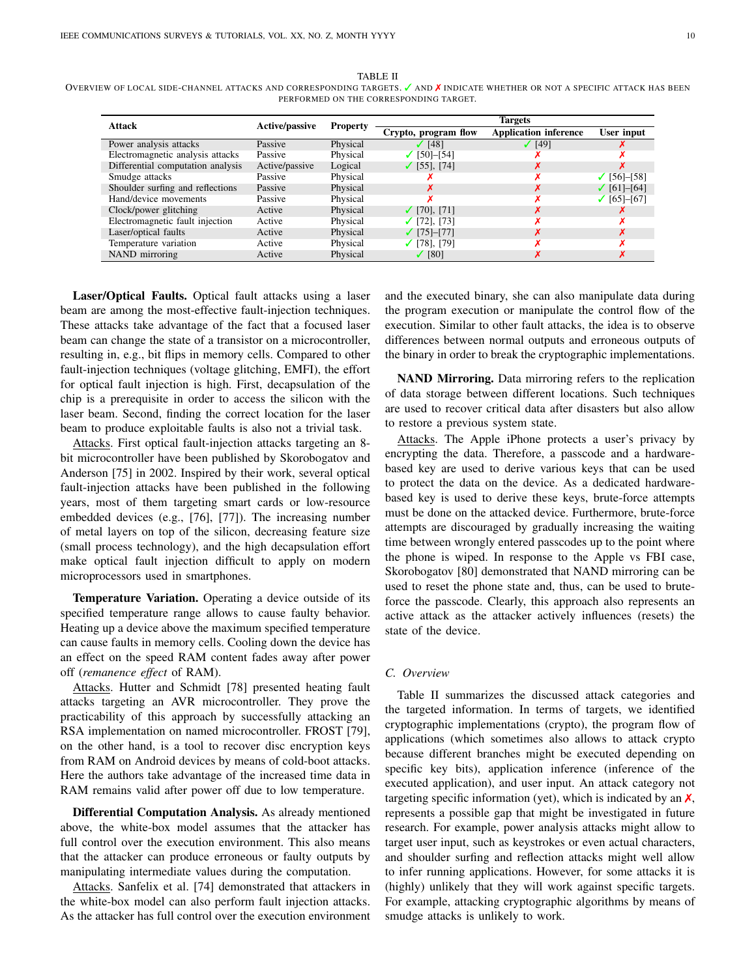| <b>Attack</b>                     | Active/passive | <b>Property</b> | <b>Targets</b>          |                              |                        |  |  |
|-----------------------------------|----------------|-----------------|-------------------------|------------------------------|------------------------|--|--|
|                                   |                |                 | Crypto, program flow    | <b>Application inference</b> | User input             |  |  |
| Power analysis attacks            | Passive        | Physical        | $\sqrt{148}$            | (49)                         |                        |  |  |
| Electromagnetic analysis attacks  | Passive        | Physical        | $[50]-[54]$<br>✓        |                              |                        |  |  |
| Differential computation analysis | Active/passive | Logical         | $\checkmark$ [55], [74] |                              |                        |  |  |
| Smudge attacks                    | Passive        | Physical        |                         |                              | $\checkmark$ [56]–[58] |  |  |
| Shoulder surfing and reflections  | Passive        | Physical        | х                       |                              | $\checkmark$ [61]–[64] |  |  |
| Hand/device movements             | Passive        | Physical        |                         |                              | $\checkmark$ [65]–[67] |  |  |
| Clock/power glitching             | Active         | Physical        | $\checkmark$ [70], [71] |                              |                        |  |  |
| Electromagnetic fault injection   | Active         | Physical        | $\checkmark$ [72], [73] |                              |                        |  |  |
| Laser/optical faults              | Active         | Physical        | $\checkmark$ [75]-[77]  |                              |                        |  |  |
| Temperature variation             | Active         | Physical        | $\checkmark$ [78], [79] |                              |                        |  |  |
| NAND mirroring                    | Active         | Physical        | $\sqrt{80}$             |                              |                        |  |  |

TABLE II

<span id="page-9-0"></span>OVERVIEW OF LOCAL SIDE-CHANNEL ATTACKS AND CORRESPONDING TARGETS. vAND X INDICATE WHETHER OR NOT A SPECIFIC ATTACK HAS BEEN PERFORMED ON THE CORRESPONDING TARGET.

Laser/Optical Faults. Optical fault attacks using a laser beam are among the most-effective fault-injection techniques. These attacks take advantage of the fact that a focused laser beam can change the state of a transistor on a microcontroller, resulting in, e.g., bit flips in memory cells. Compared to other fault-injection techniques (voltage glitching, EMFI), the effort for optical fault injection is high. First, decapsulation of the chip is a prerequisite in order to access the silicon with the laser beam. Second, finding the correct location for the laser beam to produce exploitable faults is also not a trivial task.

Attacks. First optical fault-injection attacks targeting an 8 bit microcontroller have been published by Skorobogatov and Anderson [\[75\]](#page-21-10) in 2002. Inspired by their work, several optical fault-injection attacks have been published in the following years, most of them targeting smart cards or low-resource embedded devices (e.g., [\[76\]](#page-21-15), [\[77\]](#page-21-11)). The increasing number of metal layers on top of the silicon, decreasing feature size (small process technology), and the high decapsulation effort make optical fault injection difficult to apply on modern microprocessors used in smartphones.

Temperature Variation. Operating a device outside of its specified temperature range allows to cause faulty behavior. Heating up a device above the maximum specified temperature can cause faults in memory cells. Cooling down the device has an effect on the speed RAM content fades away after power off (*remanence effect* of RAM).

Attacks. Hutter and Schmidt [\[78\]](#page-21-12) presented heating fault attacks targeting an AVR microcontroller. They prove the practicability of this approach by successfully attacking an RSA implementation on named microcontroller. FROST [\[79\]](#page-21-13), on the other hand, is a tool to recover disc encryption keys from RAM on Android devices by means of cold-boot attacks. Here the authors take advantage of the increased time data in RAM remains valid after power off due to low temperature.

Differential Computation Analysis. As already mentioned above, the white-box model assumes that the attacker has full control over the execution environment. This also means that the attacker can produce erroneous or faulty outputs by manipulating intermediate values during the computation.

Attacks. Sanfelix et al. [\[74\]](#page-21-9) demonstrated that attackers in the white-box model can also perform fault injection attacks. As the attacker has full control over the execution environment and the executed binary, she can also manipulate data during the program execution or manipulate the control flow of the execution. Similar to other fault attacks, the idea is to observe differences between normal outputs and erroneous outputs of the binary in order to break the cryptographic implementations.

NAND Mirroring. Data mirroring refers to the replication of data storage between different locations. Such techniques are used to recover critical data after disasters but also allow to restore a previous system state.

Attacks. The Apple iPhone protects a user's privacy by encrypting the data. Therefore, a passcode and a hardwarebased key are used to derive various keys that can be used to protect the data on the device. As a dedicated hardwarebased key is used to derive these keys, brute-force attempts must be done on the attacked device. Furthermore, brute-force attempts are discouraged by gradually increasing the waiting time between wrongly entered passcodes up to the point where the phone is wiped. In response to the Apple vs FBI case, Skorobogatov [\[80\]](#page-21-14) demonstrated that NAND mirroring can be used to reset the phone state and, thus, can be used to bruteforce the passcode. Clearly, this approach also represents an active attack as the attacker actively influences (resets) the state of the device.

#### *C. Overview*

Table [II](#page-9-0) summarizes the discussed attack categories and the targeted information. In terms of targets, we identified cryptographic implementations (crypto), the program flow of applications (which sometimes also allows to attack crypto because different branches might be executed depending on specific key bits), application inference (inference of the executed application), and user input. An attack category not targeting specific information (yet), which is indicated by an  $\chi$ , represents a possible gap that might be investigated in future research. For example, power analysis attacks might allow to target user input, such as keystrokes or even actual characters, and shoulder surfing and reflection attacks might well allow to infer running applications. However, for some attacks it is (highly) unlikely that they will work against specific targets. For example, attacking cryptographic algorithms by means of smudge attacks is unlikely to work.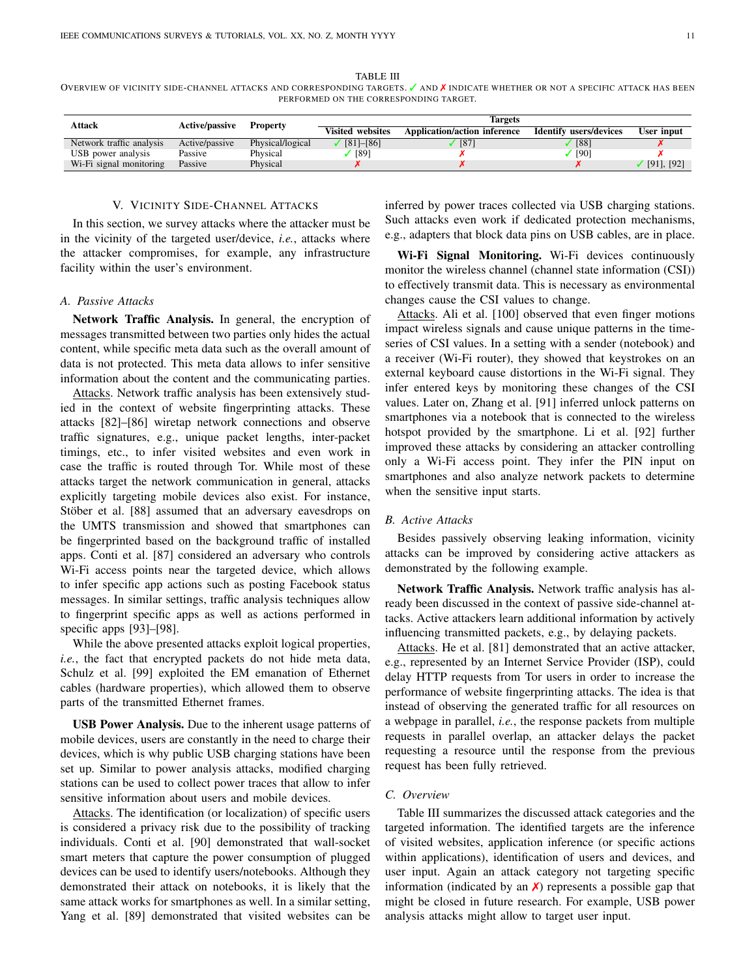#### TABLE III

<span id="page-10-3"></span>OVERVIEW OF VICINITY SIDE-CHANNEL ATTACKS AND CORRESPONDING TARGETS. v AND <sup>x</sup> INDICATE WHETHER OR NOT A SPECIFIC ATTACK HAS BEEN PERFORMED ON THE CORRESPONDING TARGET.

| <b>Attack</b>                                    | <b>Active/passive</b> | <b>Property</b>  | Targets                 |                                     |                        |                 |  |  |
|--------------------------------------------------|-----------------------|------------------|-------------------------|-------------------------------------|------------------------|-----------------|--|--|
|                                                  |                       |                  | <b>Visited websites</b> | <b>Application/action inference</b> | Identify users/devices | User input      |  |  |
| Network traffic analysis                         | Active/passive        | Physical/logical | $[81]$ - $[86]$         | [87]                                | [88]                   |                 |  |  |
| USB power analysis                               | Passive               | Phvsical         | [89]                    |                                     | [90]                   |                 |  |  |
| W <sub>1</sub> -F <sub>1</sub> signal monitoring | Passive               | Physical         |                         |                                     |                        | $[91]$ , $[92]$ |  |  |

## V. VICINITY SIDE-CHANNEL ATTACKS

<span id="page-10-0"></span>In this section, we survey attacks where the attacker must be in the vicinity of the targeted user/device, *i.e.*, attacks where the attacker compromises, for example, any infrastructure facility within the user's environment.

## <span id="page-10-1"></span>*A. Passive Attacks*

Network Traffic Analysis. In general, the encryption of messages transmitted between two parties only hides the actual content, while specific meta data such as the overall amount of data is not protected. This meta data allows to infer sensitive information about the content and the communicating parties.

Attacks. Network traffic analysis has been extensively studied in the context of website fingerprinting attacks. These attacks [\[82\]](#page-21-24)–[\[86\]](#page-21-17) wiretap network connections and observe traffic signatures, e.g., unique packet lengths, inter-packet timings, etc., to infer visited websites and even work in case the traffic is routed through Tor. While most of these attacks target the network communication in general, attacks explicitly targeting mobile devices also exist. For instance, Stöber et al. [\[88\]](#page-21-19) assumed that an adversary eavesdrops on the UMTS transmission and showed that smartphones can be fingerprinted based on the background traffic of installed apps. Conti et al. [\[87\]](#page-21-18) considered an adversary who controls Wi-Fi access points near the targeted device, which allows to infer specific app actions such as posting Facebook status messages. In similar settings, traffic analysis techniques allow to fingerprint specific apps as well as actions performed in specific apps [\[93\]](#page-21-25)–[\[98\]](#page-21-26).

While the above presented attacks exploit logical properties, *i.e.*, the fact that encrypted packets do not hide meta data, Schulz et al. [\[99\]](#page-21-27) exploited the EM emanation of Ethernet cables (hardware properties), which allowed them to observe parts of the transmitted Ethernet frames.

USB Power Analysis. Due to the inherent usage patterns of mobile devices, users are constantly in the need to charge their devices, which is why public USB charging stations have been set up. Similar to power analysis attacks, modified charging stations can be used to collect power traces that allow to infer sensitive information about users and mobile devices.

Attacks. The identification (or localization) of specific users is considered a privacy risk due to the possibility of tracking individuals. Conti et al. [\[90\]](#page-21-21) demonstrated that wall-socket smart meters that capture the power consumption of plugged devices can be used to identify users/notebooks. Although they demonstrated their attack on notebooks, it is likely that the same attack works for smartphones as well. In a similar setting, Yang et al. [\[89\]](#page-21-20) demonstrated that visited websites can be

inferred by power traces collected via USB charging stations. Such attacks even work if dedicated protection mechanisms, e.g., adapters that block data pins on USB cables, are in place.

Wi-Fi Signal Monitoring. Wi-Fi devices continuously monitor the wireless channel (channel state information (CSI)) to effectively transmit data. This is necessary as environmental changes cause the CSI values to change.

Attacks. Ali et al. [\[100\]](#page-21-28) observed that even finger motions impact wireless signals and cause unique patterns in the timeseries of CSI values. In a setting with a sender (notebook) and a receiver (Wi-Fi router), they showed that keystrokes on an external keyboard cause distortions in the Wi-Fi signal. They infer entered keys by monitoring these changes of the CSI values. Later on, Zhang et al. [\[91\]](#page-21-22) inferred unlock patterns on smartphones via a notebook that is connected to the wireless hotspot provided by the smartphone. Li et al. [\[92\]](#page-21-23) further improved these attacks by considering an attacker controlling only a Wi-Fi access point. They infer the PIN input on smartphones and also analyze network packets to determine when the sensitive input starts.

## <span id="page-10-2"></span>*B. Active Attacks*

Besides passively observing leaking information, vicinity attacks can be improved by considering active attackers as demonstrated by the following example.

Network Traffic Analysis. Network traffic analysis has already been discussed in the context of passive side-channel attacks. Active attackers learn additional information by actively influencing transmitted packets, e.g., by delaying packets.

Attacks. He et al. [\[81\]](#page-21-16) demonstrated that an active attacker, e.g., represented by an Internet Service Provider (ISP), could delay HTTP requests from Tor users in order to increase the performance of website fingerprinting attacks. The idea is that instead of observing the generated traffic for all resources on a webpage in parallel, *i.e.*, the response packets from multiple requests in parallel overlap, an attacker delays the packet requesting a resource until the response from the previous request has been fully retrieved.

## *C. Overview*

Table [III](#page-10-3) summarizes the discussed attack categories and the targeted information. The identified targets are the inference of visited websites, application inference (or specific actions within applications), identification of users and devices, and user input. Again an attack category not targeting specific information (indicated by an  $\chi$ ) represents a possible gap that might be closed in future research. For example, USB power analysis attacks might allow to target user input.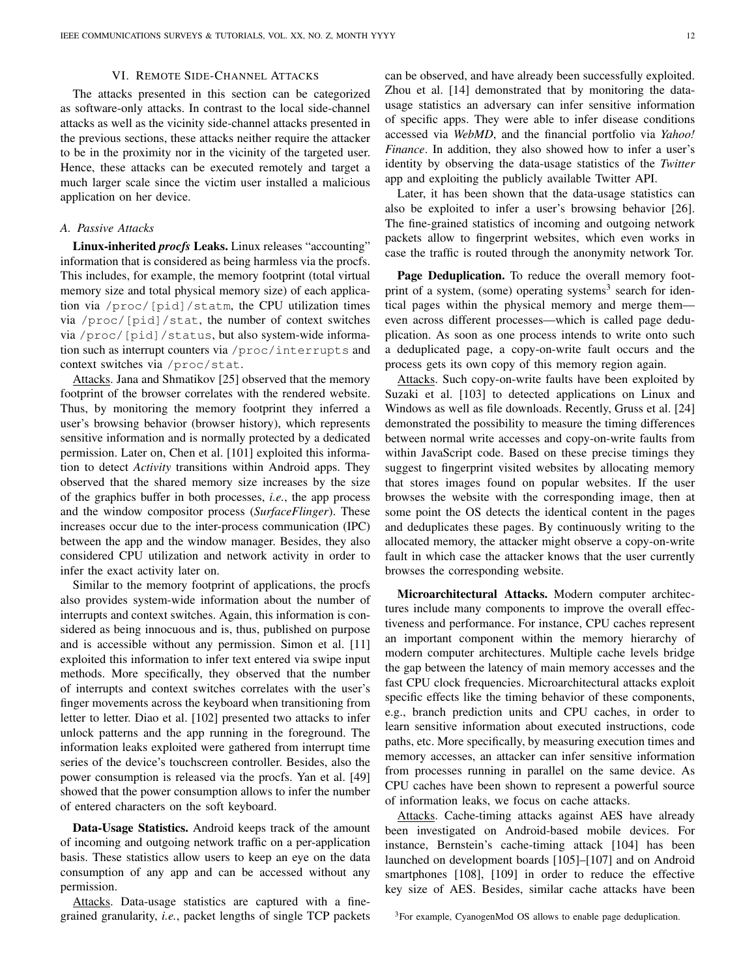# VI. REMOTE SIDE-CHANNEL ATTACKS

<span id="page-11-0"></span>The attacks presented in this section can be categorized as software-only attacks. In contrast to the local side-channel attacks as well as the vicinity side-channel attacks presented in the previous sections, these attacks neither require the attacker to be in the proximity nor in the vicinity of the targeted user. Hence, these attacks can be executed remotely and target a much larger scale since the victim user installed a malicious application on her device.

#### <span id="page-11-1"></span>*A. Passive Attacks*

Linux-inherited *procfs* Leaks. Linux releases "accounting" information that is considered as being harmless via the procfs. This includes, for example, the memory footprint (total virtual memory size and total physical memory size) of each application via /proc/[pid]/statm, the CPU utilization times via /proc/[pid]/stat, the number of context switches via /proc/[pid]/status, but also system-wide information such as interrupt counters via /proc/interrupts and context switches via /proc/stat.

Attacks. Jana and Shmatikov [\[25\]](#page-20-3) observed that the memory footprint of the browser correlates with the rendered website. Thus, by monitoring the memory footprint they inferred a user's browsing behavior (browser history), which represents sensitive information and is normally protected by a dedicated permission. Later on, Chen et al. [\[101\]](#page-21-29) exploited this information to detect *Activity* transitions within Android apps. They observed that the shared memory size increases by the size of the graphics buffer in both processes, *i.e.*, the app process and the window compositor process (*SurfaceFlinger*). These increases occur due to the inter-process communication (IPC) between the app and the window manager. Besides, they also considered CPU utilization and network activity in order to infer the exact activity later on.

Similar to the memory footprint of applications, the procfs also provides system-wide information about the number of interrupts and context switches. Again, this information is considered as being innocuous and is, thus, published on purpose and is accessible without any permission. Simon et al. [\[11\]](#page-19-8) exploited this information to infer text entered via swipe input methods. More specifically, they observed that the number of interrupts and context switches correlates with the user's finger movements across the keyboard when transitioning from letter to letter. Diao et al. [\[102\]](#page-21-30) presented two attacks to infer unlock patterns and the app running in the foreground. The information leaks exploited were gathered from interrupt time series of the device's touchscreen controller. Besides, also the power consumption is released via the procfs. Yan et al. [\[49\]](#page-20-27) showed that the power consumption allows to infer the number of entered characters on the soft keyboard.

Data-Usage Statistics. Android keeps track of the amount of incoming and outgoing network traffic on a per-application basis. These statistics allow users to keep an eye on the data consumption of any app and can be accessed without any permission.

Attacks. Data-usage statistics are captured with a finegrained granularity, *i.e.*, packet lengths of single TCP packets can be observed, and have already been successfully exploited. Zhou et al. [\[14\]](#page-19-11) demonstrated that by monitoring the datausage statistics an adversary can infer sensitive information of specific apps. They were able to infer disease conditions accessed via *WebMD*, and the financial portfolio via *Yahoo! Finance*. In addition, they also showed how to infer a user's identity by observing the data-usage statistics of the *Twitter* app and exploiting the publicly available Twitter API.

Later, it has been shown that the data-usage statistics can also be exploited to infer a user's browsing behavior [\[26\]](#page-20-4). The fine-grained statistics of incoming and outgoing network packets allow to fingerprint websites, which even works in case the traffic is routed through the anonymity network Tor.

Page Deduplication. To reduce the overall memory foot-print of a system, (some) operating systems<sup>[3](#page-11-2)</sup> search for identical pages within the physical memory and merge them even across different processes—which is called page deduplication. As soon as one process intends to write onto such a deduplicated page, a copy-on-write fault occurs and the process gets its own copy of this memory region again.

Attacks. Such copy-on-write faults have been exploited by Suzaki et al. [\[103\]](#page-21-31) to detected applications on Linux and Windows as well as file downloads. Recently, Gruss et al. [\[24\]](#page-20-2) demonstrated the possibility to measure the timing differences between normal write accesses and copy-on-write faults from within JavaScript code. Based on these precise timings they suggest to fingerprint visited websites by allocating memory that stores images found on popular websites. If the user browses the website with the corresponding image, then at some point the OS detects the identical content in the pages and deduplicates these pages. By continuously writing to the allocated memory, the attacker might observe a copy-on-write fault in which case the attacker knows that the user currently browses the corresponding website.

Microarchitectural Attacks. Modern computer architectures include many components to improve the overall effectiveness and performance. For instance, CPU caches represent an important component within the memory hierarchy of modern computer architectures. Multiple cache levels bridge the gap between the latency of main memory accesses and the fast CPU clock frequencies. Microarchitectural attacks exploit specific effects like the timing behavior of these components, e.g., branch prediction units and CPU caches, in order to learn sensitive information about executed instructions, code paths, etc. More specifically, by measuring execution times and memory accesses, an attacker can infer sensitive information from processes running in parallel on the same device. As CPU caches have been shown to represent a powerful source of information leaks, we focus on cache attacks.

Attacks. Cache-timing attacks against AES have already been investigated on Android-based mobile devices. For instance, Bernstein's cache-timing attack [\[104\]](#page-21-32) has been launched on development boards [\[105\]](#page-21-33)–[\[107\]](#page-21-34) and on Android smartphones [\[108\]](#page-22-0), [\[109\]](#page-22-1) in order to reduce the effective key size of AES. Besides, similar cache attacks have been

<span id="page-11-2"></span><sup>3</sup>For example, CyanogenMod OS allows to enable page deduplication.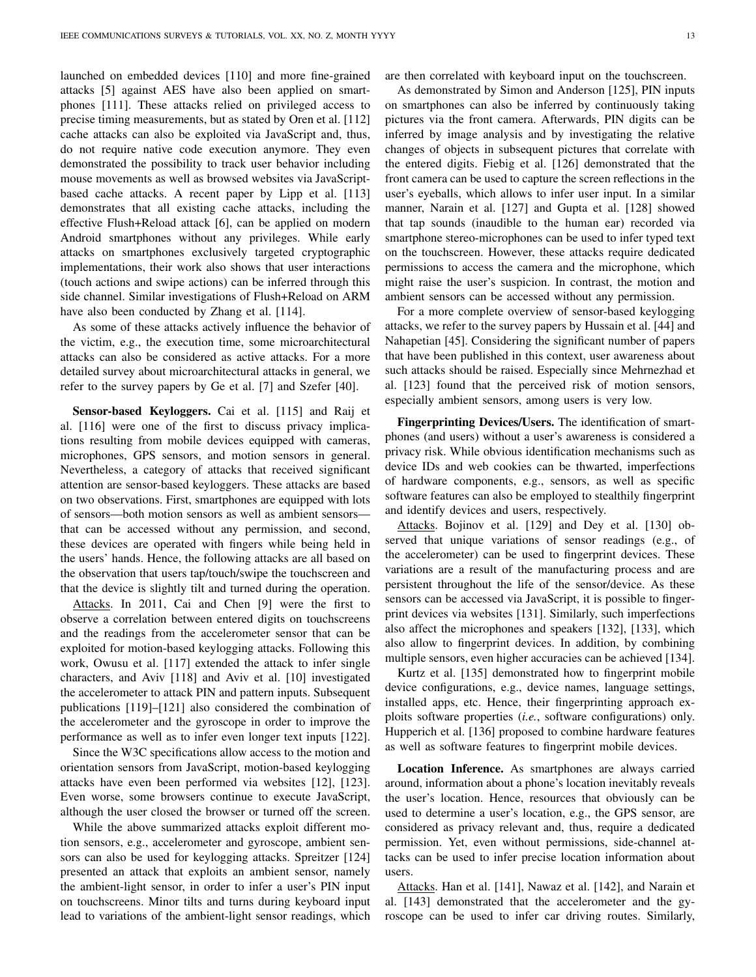launched on embedded devices [\[110\]](#page-22-2) and more fine-grained attacks [\[5\]](#page-19-4) against AES have also been applied on smartphones [\[111\]](#page-22-3). These attacks relied on privileged access to precise timing measurements, but as stated by Oren et al. [\[112\]](#page-22-4) cache attacks can also be exploited via JavaScript and, thus, do not require native code execution anymore. They even demonstrated the possibility to track user behavior including mouse movements as well as browsed websites via JavaScriptbased cache attacks. A recent paper by Lipp et al. [\[113\]](#page-22-5) demonstrates that all existing cache attacks, including the effective Flush+Reload attack [\[6\]](#page-19-20), can be applied on modern Android smartphones without any privileges. While early attacks on smartphones exclusively targeted cryptographic implementations, their work also shows that user interactions (touch actions and swipe actions) can be inferred through this side channel. Similar investigations of Flush+Reload on ARM have also been conducted by Zhang et al. [\[114\]](#page-22-6).

As some of these attacks actively influence the behavior of the victim, e.g., the execution time, some microarchitectural attacks can also be considered as active attacks. For a more detailed survey about microarchitectural attacks in general, we refer to the survey papers by Ge et al. [\[7\]](#page-19-5) and Szefer [\[40\]](#page-20-18).

Sensor-based Keyloggers. Cai et al. [\[115\]](#page-22-7) and Raij et al. [\[116\]](#page-22-8) were one of the first to discuss privacy implications resulting from mobile devices equipped with cameras, microphones, GPS sensors, and motion sensors in general. Nevertheless, a category of attacks that received significant attention are sensor-based keyloggers. These attacks are based on two observations. First, smartphones are equipped with lots of sensors—both motion sensors as well as ambient sensors that can be accessed without any permission, and second, these devices are operated with fingers while being held in the users' hands. Hence, the following attacks are all based on the observation that users tap/touch/swipe the touchscreen and that the device is slightly tilt and turned during the operation.

Attacks. In 2011, Cai and Chen [\[9\]](#page-19-7) were the first to observe a correlation between entered digits on touchscreens and the readings from the accelerometer sensor that can be exploited for motion-based keylogging attacks. Following this work, Owusu et al. [\[117\]](#page-22-9) extended the attack to infer single characters, and Aviv [\[118\]](#page-22-10) and Aviv et al. [\[10\]](#page-19-18) investigated the accelerometer to attack PIN and pattern inputs. Subsequent publications [\[119\]](#page-22-11)–[\[121\]](#page-22-12) also considered the combination of the accelerometer and the gyroscope in order to improve the performance as well as to infer even longer text inputs [\[122\]](#page-22-13).

Since the W3C specifications allow access to the motion and orientation sensors from JavaScript, motion-based keylogging attacks have even been performed via websites [\[12\]](#page-19-9), [\[123\]](#page-22-14). Even worse, some browsers continue to execute JavaScript, although the user closed the browser or turned off the screen.

While the above summarized attacks exploit different motion sensors, e.g., accelerometer and gyroscope, ambient sensors can also be used for keylogging attacks. Spreitzer [\[124\]](#page-22-15) presented an attack that exploits an ambient sensor, namely the ambient-light sensor, in order to infer a user's PIN input on touchscreens. Minor tilts and turns during keyboard input lead to variations of the ambient-light sensor readings, which are then correlated with keyboard input on the touchscreen.

As demonstrated by Simon and Anderson [\[125\]](#page-22-16), PIN inputs on smartphones can also be inferred by continuously taking pictures via the front camera. Afterwards, PIN digits can be inferred by image analysis and by investigating the relative changes of objects in subsequent pictures that correlate with the entered digits. Fiebig et al. [\[126\]](#page-22-17) demonstrated that the front camera can be used to capture the screen reflections in the user's eyeballs, which allows to infer user input. In a similar manner, Narain et al. [\[127\]](#page-22-18) and Gupta et al. [\[128\]](#page-22-19) showed that tap sounds (inaudible to the human ear) recorded via smartphone stereo-microphones can be used to infer typed text on the touchscreen. However, these attacks require dedicated permissions to access the camera and the microphone, which might raise the user's suspicion. In contrast, the motion and ambient sensors can be accessed without any permission.

For a more complete overview of sensor-based keylogging attacks, we refer to the survey papers by Hussain et al. [\[44\]](#page-20-22) and Nahapetian [\[45\]](#page-20-23). Considering the significant number of papers that have been published in this context, user awareness about such attacks should be raised. Especially since Mehrnezhad et al. [\[123\]](#page-22-14) found that the perceived risk of motion sensors, especially ambient sensors, among users is very low.

Fingerprinting Devices/Users. The identification of smartphones (and users) without a user's awareness is considered a privacy risk. While obvious identification mechanisms such as device IDs and web cookies can be thwarted, imperfections of hardware components, e.g., sensors, as well as specific software features can also be employed to stealthily fingerprint and identify devices and users, respectively.

Attacks. Bojinov et al. [\[129\]](#page-22-20) and Dey et al. [\[130\]](#page-22-21) observed that unique variations of sensor readings (e.g., of the accelerometer) can be used to fingerprint devices. These variations are a result of the manufacturing process and are persistent throughout the life of the sensor/device. As these sensors can be accessed via JavaScript, it is possible to fingerprint devices via websites [\[131\]](#page-22-22). Similarly, such imperfections also affect the microphones and speakers [\[132\]](#page-22-23), [\[133\]](#page-22-24), which also allow to fingerprint devices. In addition, by combining multiple sensors, even higher accuracies can be achieved [\[134\]](#page-22-25).

Kurtz et al. [\[135\]](#page-22-26) demonstrated how to fingerprint mobile device configurations, e.g., device names, language settings, installed apps, etc. Hence, their fingerprinting approach exploits software properties (*i.e.*, software configurations) only. Hupperich et al. [\[136\]](#page-22-27) proposed to combine hardware features as well as software features to fingerprint mobile devices.

Location Inference. As smartphones are always carried around, information about a phone's location inevitably reveals the user's location. Hence, resources that obviously can be used to determine a user's location, e.g., the GPS sensor, are considered as privacy relevant and, thus, require a dedicated permission. Yet, even without permissions, side-channel attacks can be used to infer precise location information about users.

Attacks. Han et al. [\[141\]](#page-22-28), Nawaz et al. [\[142\]](#page-22-29), and Narain et al. [\[143\]](#page-22-30) demonstrated that the accelerometer and the gyroscope can be used to infer car driving routes. Similarly,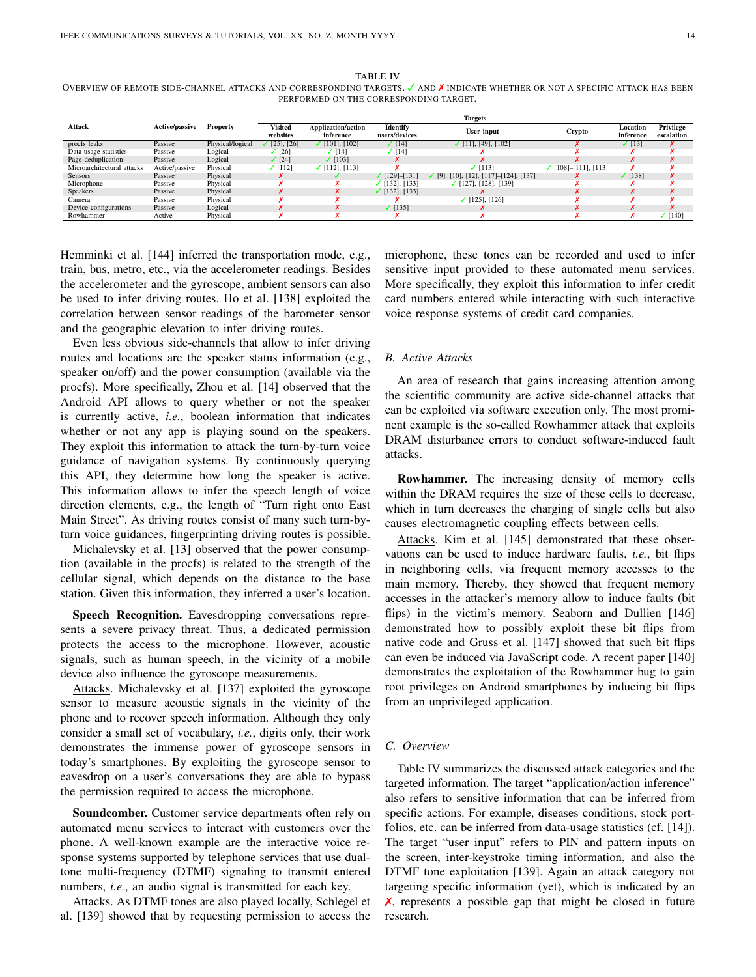<span id="page-13-1"></span>TABLE IV OVERVIEW OF REMOTE SIDE-CHANNEL ATTACKS AND CORRESPONDING TARGETS. √ AND **X** INDICATE WHETHER OR NOT A SPECIFIC ATTACK HAS BEEN PERFORMED ON THE CORRESPONDING TARGET.

|                            | <b>Active/passive</b> | <b>Property</b>  | <b>Targets</b>  |                            |                           |                                  |                        |              |                  |  |
|----------------------------|-----------------------|------------------|-----------------|----------------------------|---------------------------|----------------------------------|------------------------|--------------|------------------|--|
| <b>Attack</b>              |                       |                  | <b>Visited</b>  | <b>Application/action</b>  | <b>Identify</b>           | User input                       |                        | Location     | <b>Privilege</b> |  |
|                            |                       |                  | websites        | inference<br>users/devices |                           | Crypto                           | inference              | escalation   |                  |  |
| procfs leaks               | Passive               | Physical/logical | $[25]$ , $[26]$ | $\sqrt{101}$ , [102]       | $\sqrt{14}$               | $\checkmark$ [11], [49], [102]   |                        | (13)         | x                |  |
| Data-usage statistics      | Passive               | Logical          | (26)            | [14]                       | $\sqrt{14}$               |                                  |                        |              |                  |  |
| Page deduplication         | Passive               | Logical          | $\sqrt{24}$     | $\times$ [103]             |                           |                                  |                        |              |                  |  |
| Microarchitectural attacks | Active/passive        | Physical         | $\sqrt{112}$    | $\checkmark$ [112], [113]  |                           | $\sqrt{1131}$                    | $(108] - [111], [113]$ |              |                  |  |
| <b>Sensors</b>             | Passive               | Physical         |                 |                            | $\checkmark$ [129]-[131]  | $(9, 10, 12, 117]$ [124], [137]  |                        | $\sqrt{138}$ |                  |  |
| Microphone                 | Passive               | Physical         |                 |                            | $\checkmark$ [132], [133] | $\checkmark$ [127], [128], [139] |                        |              |                  |  |
| <b>Speakers</b>            | Passive               | Physical         |                 |                            | $\checkmark$ [132], [133] |                                  |                        |              |                  |  |
| Camera                     | Passive               | Physical         |                 |                            |                           | $\checkmark$ [125], [126]        |                        |              |                  |  |
| Device configurations      | Passive               | Logical          |                 |                            | $\sqrt{135}$              |                                  |                        |              |                  |  |
| Rowhammer                  | Active                | Physical         |                 |                            |                           |                                  |                        |              | $\sqrt{140}$     |  |

Hemminki et al. [\[144\]](#page-22-35) inferred the transportation mode, e.g., train, bus, metro, etc., via the accelerometer readings. Besides the accelerometer and the gyroscope, ambient sensors can also be used to infer driving routes. Ho et al. [\[138\]](#page-22-32) exploited the correlation between sensor readings of the barometer sensor and the geographic elevation to infer driving routes.

Even less obvious side-channels that allow to infer driving routes and locations are the speaker status information (e.g., speaker on/off) and the power consumption (available via the procfs). More specifically, Zhou et al. [\[14\]](#page-19-11) observed that the Android API allows to query whether or not the speaker is currently active, *i.e.*, boolean information that indicates whether or not any app is playing sound on the speakers. They exploit this information to attack the turn-by-turn voice guidance of navigation systems. By continuously querying this API, they determine how long the speaker is active. This information allows to infer the speech length of voice direction elements, e.g., the length of "Turn right onto East Main Street". As driving routes consist of many such turn-byturn voice guidances, fingerprinting driving routes is possible.

Michalevsky et al. [\[13\]](#page-19-10) observed that the power consumption (available in the procfs) is related to the strength of the cellular signal, which depends on the distance to the base station. Given this information, they inferred a user's location.

Speech Recognition. Eavesdropping conversations represents a severe privacy threat. Thus, a dedicated permission protects the access to the microphone. However, acoustic signals, such as human speech, in the vicinity of a mobile device also influence the gyroscope measurements.

Attacks. Michalevsky et al. [\[137\]](#page-22-31) exploited the gyroscope sensor to measure acoustic signals in the vicinity of the phone and to recover speech information. Although they only consider a small set of vocabulary, *i.e.*, digits only, their work demonstrates the immense power of gyroscope sensors in today's smartphones. By exploiting the gyroscope sensor to eavesdrop on a user's conversations they are able to bypass the permission required to access the microphone.

Soundcomber. Customer service departments often rely on automated menu services to interact with customers over the phone. A well-known example are the interactive voice response systems supported by telephone services that use dualtone multi-frequency (DTMF) signaling to transmit entered numbers, *i.e.*, an audio signal is transmitted for each key.

Attacks. As DTMF tones are also played locally, Schlegel et al. [\[139\]](#page-22-33) showed that by requesting permission to access the

microphone, these tones can be recorded and used to infer sensitive input provided to these automated menu services. More specifically, they exploit this information to infer credit card numbers entered while interacting with such interactive voice response systems of credit card companies.

## <span id="page-13-0"></span>*B. Active Attacks*

An area of research that gains increasing attention among the scientific community are active side-channel attacks that can be exploited via software execution only. The most prominent example is the so-called Rowhammer attack that exploits DRAM disturbance errors to conduct software-induced fault attacks.

Rowhammer. The increasing density of memory cells within the DRAM requires the size of these cells to decrease, which in turn decreases the charging of single cells but also causes electromagnetic coupling effects between cells.

Attacks. Kim et al. [\[145\]](#page-22-36) demonstrated that these observations can be used to induce hardware faults, *i.e.*, bit flips in neighboring cells, via frequent memory accesses to the main memory. Thereby, they showed that frequent memory accesses in the attacker's memory allow to induce faults (bit flips) in the victim's memory. Seaborn and Dullien [\[146\]](#page-22-37) demonstrated how to possibly exploit these bit flips from native code and Gruss et al. [\[147\]](#page-22-38) showed that such bit flips can even be induced via JavaScript code. A recent paper [\[140\]](#page-22-34) demonstrates the exploitation of the Rowhammer bug to gain root privileges on Android smartphones by inducing bit flips from an unprivileged application.

## *C. Overview*

Table [IV](#page-13-1) summarizes the discussed attack categories and the targeted information. The target "application/action inference" also refers to sensitive information that can be inferred from specific actions. For example, diseases conditions, stock portfolios, etc. can be inferred from data-usage statistics (cf. [\[14\]](#page-19-11)). The target "user input" refers to PIN and pattern inputs on the screen, inter-keystroke timing information, and also the DTMF tone exploitation [\[139\]](#page-22-33). Again an attack category not targeting specific information (yet), which is indicated by an ✗, represents a possible gap that might be closed in future research.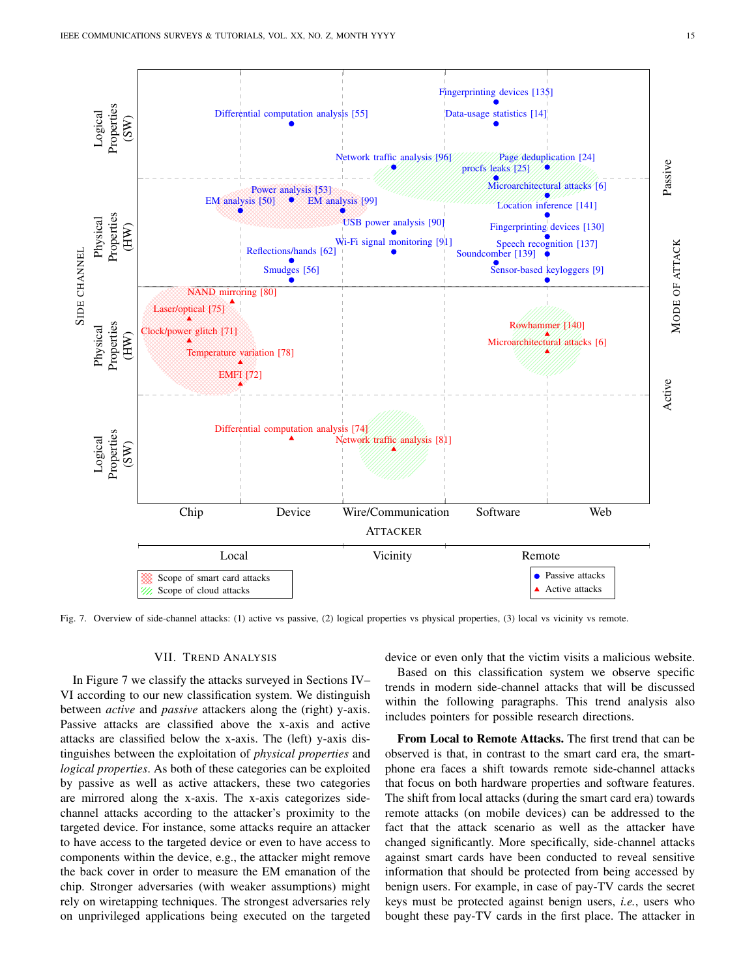

<span id="page-14-1"></span>Fig. 7. Overview of side-channel attacks: (1) active vs passive, (2) logical properties vs physical properties, (3) local vs vicinity vs remote.

## VII. TREND ANALYSIS

<span id="page-14-0"></span>In Figure [7](#page-14-1) we classify the attacks surveyed in Sections [IV–](#page-7-0) [VI](#page-11-0) according to our new classification system. We distinguish between *active* and *passive* attackers along the (right) y-axis. Passive attacks are classified above the x-axis and active attacks are classified below the x-axis. The (left) y-axis distinguishes between the exploitation of *physical properties* and *logical properties*. As both of these categories can be exploited by passive as well as active attackers, these two categories are mirrored along the x-axis. The x-axis categorizes sidechannel attacks according to the attacker's proximity to the targeted device. For instance, some attacks require an attacker to have access to the targeted device or even to have access to components within the device, e.g., the attacker might remove the back cover in order to measure the EM emanation of the chip. Stronger adversaries (with weaker assumptions) might rely on wiretapping techniques. The strongest adversaries rely on unprivileged applications being executed on the targeted

device or even only that the victim visits a malicious website.

Based on this classification system we observe specific trends in modern side-channel attacks that will be discussed within the following paragraphs. This trend analysis also includes pointers for possible research directions.

From Local to Remote Attacks. The first trend that can be observed is that, in contrast to the smart card era, the smartphone era faces a shift towards remote side-channel attacks that focus on both hardware properties and software features. The shift from local attacks (during the smart card era) towards remote attacks (on mobile devices) can be addressed to the fact that the attack scenario as well as the attacker have changed significantly. More specifically, side-channel attacks against smart cards have been conducted to reveal sensitive information that should be protected from being accessed by benign users. For example, in case of pay-TV cards the secret keys must be protected against benign users, *i.e.*, users who bought these pay-TV cards in the first place. The attacker in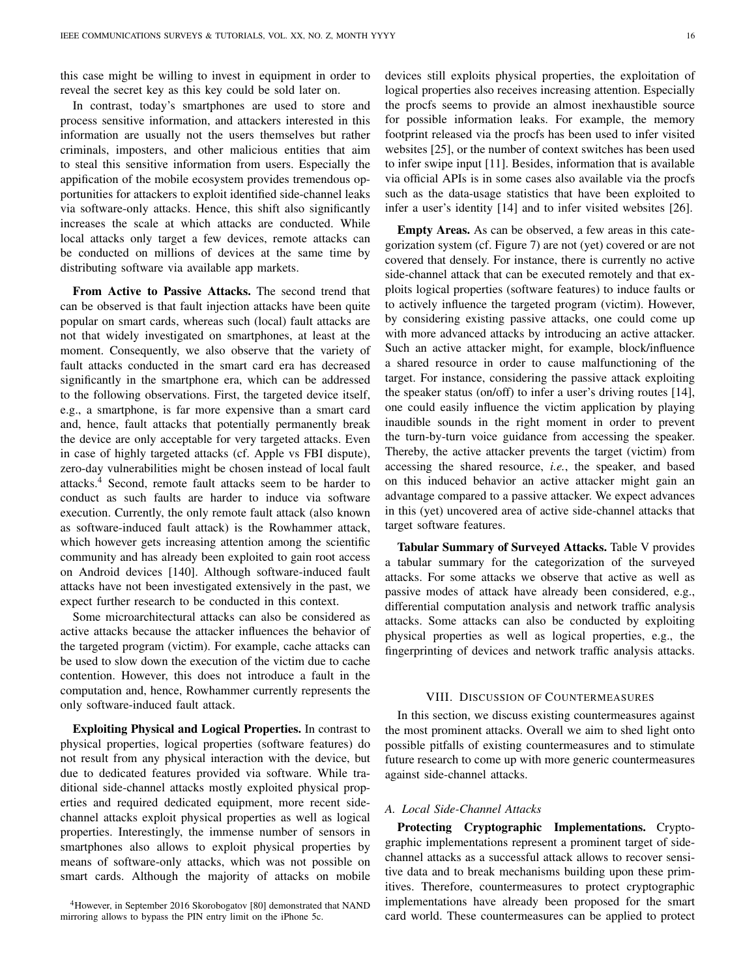this case might be willing to invest in equipment in order to reveal the secret key as this key could be sold later on.

In contrast, today's smartphones are used to store and process sensitive information, and attackers interested in this information are usually not the users themselves but rather criminals, imposters, and other malicious entities that aim to steal this sensitive information from users. Especially the appification of the mobile ecosystem provides tremendous opportunities for attackers to exploit identified side-channel leaks via software-only attacks. Hence, this shift also significantly increases the scale at which attacks are conducted. While local attacks only target a few devices, remote attacks can be conducted on millions of devices at the same time by distributing software via available app markets.

From Active to Passive Attacks. The second trend that can be observed is that fault injection attacks have been quite popular on smart cards, whereas such (local) fault attacks are not that widely investigated on smartphones, at least at the moment. Consequently, we also observe that the variety of fault attacks conducted in the smart card era has decreased significantly in the smartphone era, which can be addressed to the following observations. First, the targeted device itself, e.g., a smartphone, is far more expensive than a smart card and, hence, fault attacks that potentially permanently break the device are only acceptable for very targeted attacks. Even in case of highly targeted attacks (cf. Apple vs FBI dispute), zero-day vulnerabilities might be chosen instead of local fault attacks.[4](#page-15-1) Second, remote fault attacks seem to be harder to conduct as such faults are harder to induce via software execution. Currently, the only remote fault attack (also known as software-induced fault attack) is the Rowhammer attack, which however gets increasing attention among the scientific community and has already been exploited to gain root access on Android devices [\[140\]](#page-22-34). Although software-induced fault attacks have not been investigated extensively in the past, we expect further research to be conducted in this context.

Some microarchitectural attacks can also be considered as active attacks because the attacker influences the behavior of the targeted program (victim). For example, cache attacks can be used to slow down the execution of the victim due to cache contention. However, this does not introduce a fault in the computation and, hence, Rowhammer currently represents the only software-induced fault attack.

Exploiting Physical and Logical Properties. In contrast to physical properties, logical properties (software features) do not result from any physical interaction with the device, but due to dedicated features provided via software. While traditional side-channel attacks mostly exploited physical properties and required dedicated equipment, more recent sidechannel attacks exploit physical properties as well as logical properties. Interestingly, the immense number of sensors in smartphones also allows to exploit physical properties by means of software-only attacks, which was not possible on smart cards. Although the majority of attacks on mobile

devices still exploits physical properties, the exploitation of logical properties also receives increasing attention. Especially the procfs seems to provide an almost inexhaustible source for possible information leaks. For example, the memory footprint released via the procfs has been used to infer visited websites [\[25\]](#page-20-3), or the number of context switches has been used to infer swipe input [\[11\]](#page-19-8). Besides, information that is available via official APIs is in some cases also available via the procfs such as the data-usage statistics that have been exploited to infer a user's identity [\[14\]](#page-19-11) and to infer visited websites [\[26\]](#page-20-4).

Empty Areas. As can be observed, a few areas in this categorization system (cf. Figure [7\)](#page-14-1) are not (yet) covered or are not covered that densely. For instance, there is currently no active side-channel attack that can be executed remotely and that exploits logical properties (software features) to induce faults or to actively influence the targeted program (victim). However, by considering existing passive attacks, one could come up with more advanced attacks by introducing an active attacker. Such an active attacker might, for example, block/influence a shared resource in order to cause malfunctioning of the target. For instance, considering the passive attack exploiting the speaker status (on/off) to infer a user's driving routes [\[14\]](#page-19-11), one could easily influence the victim application by playing inaudible sounds in the right moment in order to prevent the turn-by-turn voice guidance from accessing the speaker. Thereby, the active attacker prevents the target (victim) from accessing the shared resource, *i.e.*, the speaker, and based on this induced behavior an active attacker might gain an advantage compared to a passive attacker. We expect advances in this (yet) uncovered area of active side-channel attacks that target software features.

Tabular Summary of Surveyed Attacks. Table [V](#page-16-0) provides a tabular summary for the categorization of the surveyed attacks. For some attacks we observe that active as well as passive modes of attack have already been considered, e.g., differential computation analysis and network traffic analysis attacks. Some attacks can also be conducted by exploiting physical properties as well as logical properties, e.g., the fingerprinting of devices and network traffic analysis attacks.

## VIII. DISCUSSION OF COUNTERMEASURES

<span id="page-15-0"></span>In this section, we discuss existing countermeasures against the most prominent attacks. Overall we aim to shed light onto possible pitfalls of existing countermeasures and to stimulate future research to come up with more generic countermeasures against side-channel attacks.

#### *A. Local Side-Channel Attacks*

Protecting Cryptographic Implementations. Cryptographic implementations represent a prominent target of sidechannel attacks as a successful attack allows to recover sensitive data and to break mechanisms building upon these primitives. Therefore, countermeasures to protect cryptographic implementations have already been proposed for the smart card world. These countermeasures can be applied to protect

<span id="page-15-1"></span><sup>4</sup>However, in September 2016 Skorobogatov [\[80\]](#page-21-14) demonstrated that NAND mirroring allows to bypass the PIN entry limit on the iPhone 5c.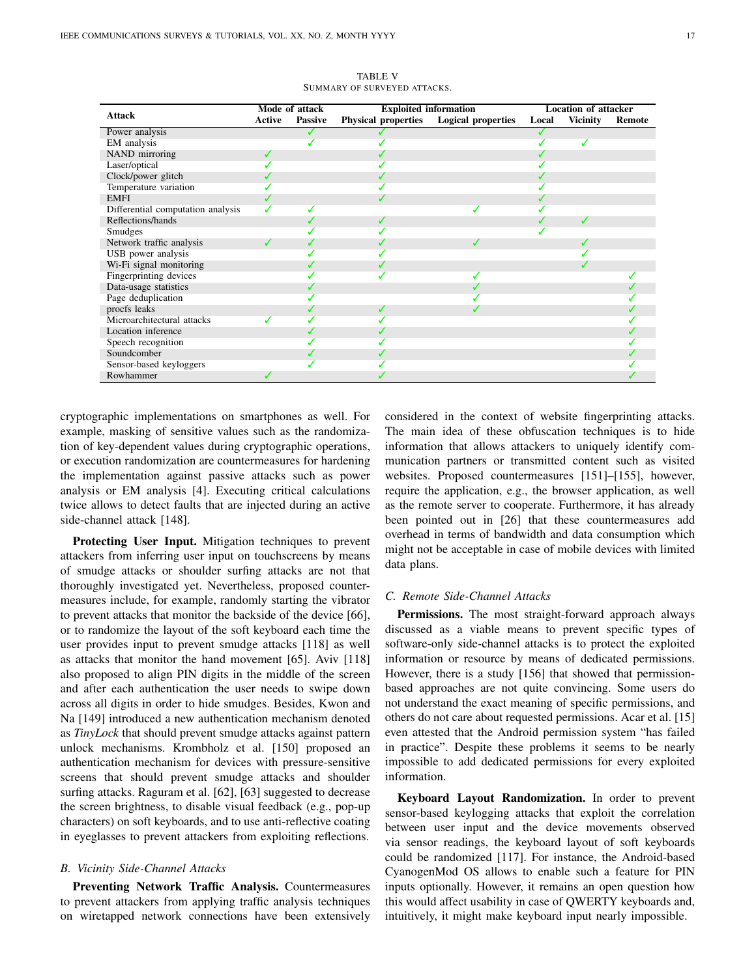<span id="page-16-0"></span>

|                                   | Mode of attack |                | <b>Exploited information</b> | <b>Location of attacker</b> |       |                 |               |
|-----------------------------------|----------------|----------------|------------------------------|-----------------------------|-------|-----------------|---------------|
| <b>Attack</b>                     | <b>Active</b>  | <b>Passive</b> | <b>Physical properties</b>   | <b>Logical properties</b>   | Local | <b>Vicinity</b> | <b>Remote</b> |
| Power analysis                    |                |                |                              |                             |       |                 |               |
| EM analysis                       |                |                |                              |                             |       |                 |               |
| NAND mirroring                    |                |                |                              |                             |       |                 |               |
| Laser/optical                     |                |                |                              |                             |       |                 |               |
| Clock/power glitch                |                |                |                              |                             |       |                 |               |
| Temperature variation             |                |                |                              |                             |       |                 |               |
| <b>EMFI</b>                       |                |                |                              |                             |       |                 |               |
| Differential computation analysis |                |                |                              |                             |       |                 |               |
| Reflections/hands                 |                |                |                              |                             |       |                 |               |
| Smudges                           |                |                |                              |                             |       |                 |               |
| Network traffic analysis          | ℐ              |                |                              |                             |       |                 |               |
| USB power analysis                |                |                |                              |                             |       |                 |               |
| Wi-Fi signal monitoring           |                |                |                              |                             |       |                 |               |
| Fingerprinting devices            |                |                |                              |                             |       |                 |               |
| Data-usage statistics             |                |                |                              |                             |       |                 |               |
| Page deduplication                |                |                |                              |                             |       |                 |               |
| procfs leaks                      |                |                | ✔                            |                             |       |                 |               |
| Microarchitectural attacks        |                |                |                              |                             |       |                 |               |
| Location inference                |                |                |                              |                             |       |                 |               |
| Speech recognition                |                |                |                              |                             |       |                 |               |
| Soundcomber                       |                |                |                              |                             |       |                 |               |
| Sensor-based keyloggers           |                |                |                              |                             |       |                 |               |
| Rowhammer                         |                |                |                              |                             |       |                 |               |

TABLE V SUMMARY OF SURVEYED ATTACKS.

cryptographic implementations on smartphones as well. For example, masking of sensitive values such as the randomization of key-dependent values during cryptographic operations, or execution randomization are countermeasures for hardening the implementation against passive attacks such as power analysis or EM analysis [\[4\]](#page-19-3). Executing critical calculations twice allows to detect faults that are injected during an active side-channel attack [\[148\]](#page-22-39).

Protecting User Input. Mitigation techniques to prevent attackers from inferring user input on touchscreens by means of smudge attacks or shoulder surfing attacks are not that thoroughly investigated yet. Nevertheless, proposed countermeasures include, for example, randomly starting the vibrator to prevent attacks that monitor the backside of the device [\[66\]](#page-21-1), or to randomize the layout of the soft keyboard each time the user provides input to prevent smudge attacks [\[118\]](#page-22-10) as well as attacks that monitor the hand movement [\[65\]](#page-21-0). Aviv [\[118\]](#page-22-10) also proposed to align PIN digits in the middle of the screen and after each authentication the user needs to swipe down across all digits in order to hide smudges. Besides, Kwon and Na [\[149\]](#page-22-40) introduced a new authentication mechanism denoted as *TinyLock* that should prevent smudge attacks against pattern unlock mechanisms. Krombholz et al. [\[150\]](#page-22-41) proposed an authentication mechanism for devices with pressure-sensitive screens that should prevent smudge attacks and shoulder surfing attacks. Raguram et al. [\[62\]](#page-20-40), [\[63\]](#page-20-41) suggested to decrease the screen brightness, to disable visual feedback (e.g., pop-up characters) on soft keyboards, and to use anti-reflective coating in eyeglasses to prevent attackers from exploiting reflections.

## *B. Vicinity Side-Channel Attacks*

Preventing Network Traffic Analysis. Countermeasures to prevent attackers from applying traffic analysis techniques on wiretapped network connections have been extensively considered in the context of website fingerprinting attacks. The main idea of these obfuscation techniques is to hide information that allows attackers to uniquely identify communication partners or transmitted content such as visited websites. Proposed countermeasures [\[151\]](#page-23-0)–[\[155\]](#page-23-1), however, require the application, e.g., the browser application, as well as the remote server to cooperate. Furthermore, it has already been pointed out in [\[26\]](#page-20-4) that these countermeasures add overhead in terms of bandwidth and data consumption which might not be acceptable in case of mobile devices with limited data plans.

# *C. Remote Side-Channel Attacks*

Permissions. The most straight-forward approach always discussed as a viable means to prevent specific types of software-only side-channel attacks is to protect the exploited information or resource by means of dedicated permissions. However, there is a study [\[156\]](#page-23-2) that showed that permissionbased approaches are not quite convincing. Some users do not understand the exact meaning of specific permissions, and others do not care about requested permissions. Acar et al. [\[15\]](#page-19-12) even attested that the Android permission system "has failed in practice". Despite these problems it seems to be nearly impossible to add dedicated permissions for every exploited information.

Keyboard Layout Randomization. In order to prevent sensor-based keylogging attacks that exploit the correlation between user input and the device movements observed via sensor readings, the keyboard layout of soft keyboards could be randomized [\[117\]](#page-22-9). For instance, the Android-based CyanogenMod OS allows to enable such a feature for PIN inputs optionally. However, it remains an open question how this would affect usability in case of QWERTY keyboards and, intuitively, it might make keyboard input nearly impossible.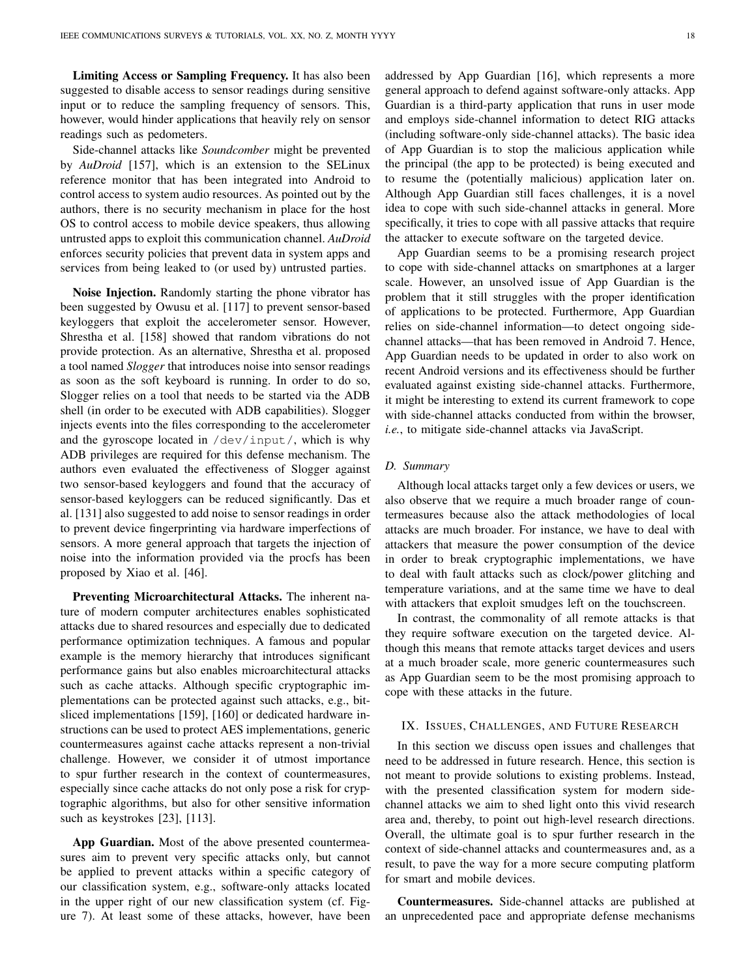Limiting Access or Sampling Frequency. It has also been suggested to disable access to sensor readings during sensitive input or to reduce the sampling frequency of sensors. This, however, would hinder applications that heavily rely on sensor readings such as pedometers.

Side-channel attacks like *Soundcomber* might be prevented by *AuDroid* [\[157\]](#page-23-3), which is an extension to the SELinux reference monitor that has been integrated into Android to control access to system audio resources. As pointed out by the authors, there is no security mechanism in place for the host OS to control access to mobile device speakers, thus allowing untrusted apps to exploit this communication channel. *AuDroid* enforces security policies that prevent data in system apps and services from being leaked to (or used by) untrusted parties.

Noise Injection. Randomly starting the phone vibrator has been suggested by Owusu et al. [\[117\]](#page-22-9) to prevent sensor-based keyloggers that exploit the accelerometer sensor. However, Shrestha et al. [\[158\]](#page-23-4) showed that random vibrations do not provide protection. As an alternative, Shrestha et al. proposed a tool named *Slogger* that introduces noise into sensor readings as soon as the soft keyboard is running. In order to do so, Slogger relies on a tool that needs to be started via the ADB shell (in order to be executed with ADB capabilities). Slogger injects events into the files corresponding to the accelerometer and the gyroscope located in /dev/input/, which is why ADB privileges are required for this defense mechanism. The authors even evaluated the effectiveness of Slogger against two sensor-based keyloggers and found that the accuracy of sensor-based keyloggers can be reduced significantly. Das et al. [\[131\]](#page-22-22) also suggested to add noise to sensor readings in order to prevent device fingerprinting via hardware imperfections of sensors. A more general approach that targets the injection of noise into the information provided via the procfs has been proposed by Xiao et al. [\[46\]](#page-20-24).

Preventing Microarchitectural Attacks. The inherent nature of modern computer architectures enables sophisticated attacks due to shared resources and especially due to dedicated performance optimization techniques. A famous and popular example is the memory hierarchy that introduces significant performance gains but also enables microarchitectural attacks such as cache attacks. Although specific cryptographic implementations can be protected against such attacks, e.g., bitsliced implementations [\[159\]](#page-23-5), [\[160\]](#page-23-6) or dedicated hardware instructions can be used to protect AES implementations, generic countermeasures against cache attacks represent a non-trivial challenge. However, we consider it of utmost importance to spur further research in the context of countermeasures, especially since cache attacks do not only pose a risk for cryptographic algorithms, but also for other sensitive information such as keystrokes [\[23\]](#page-20-1), [\[113\]](#page-22-5).

App Guardian. Most of the above presented countermeasures aim to prevent very specific attacks only, but cannot be applied to prevent attacks within a specific category of our classification system, e.g., software-only attacks located in the upper right of our new classification system (cf. Figure [7\)](#page-14-1). At least some of these attacks, however, have been

addressed by App Guardian [\[16\]](#page-19-13), which represents a more general approach to defend against software-only attacks. App Guardian is a third-party application that runs in user mode and employs side-channel information to detect RIG attacks (including software-only side-channel attacks). The basic idea of App Guardian is to stop the malicious application while the principal (the app to be protected) is being executed and to resume the (potentially malicious) application later on. Although App Guardian still faces challenges, it is a novel idea to cope with such side-channel attacks in general. More specifically, it tries to cope with all passive attacks that require the attacker to execute software on the targeted device.

App Guardian seems to be a promising research project to cope with side-channel attacks on smartphones at a larger scale. However, an unsolved issue of App Guardian is the problem that it still struggles with the proper identification of applications to be protected. Furthermore, App Guardian relies on side-channel information—to detect ongoing sidechannel attacks—that has been removed in Android 7. Hence, App Guardian needs to be updated in order to also work on recent Android versions and its effectiveness should be further evaluated against existing side-channel attacks. Furthermore, it might be interesting to extend its current framework to cope with side-channel attacks conducted from within the browser, *i.e.*, to mitigate side-channel attacks via JavaScript.

# *D. Summary*

Although local attacks target only a few devices or users, we also observe that we require a much broader range of countermeasures because also the attack methodologies of local attacks are much broader. For instance, we have to deal with attackers that measure the power consumption of the device in order to break cryptographic implementations, we have to deal with fault attacks such as clock/power glitching and temperature variations, and at the same time we have to deal with attackers that exploit smudges left on the touchscreen.

In contrast, the commonality of all remote attacks is that they require software execution on the targeted device. Although this means that remote attacks target devices and users at a much broader scale, more generic countermeasures such as App Guardian seem to be the most promising approach to cope with these attacks in the future.

# <span id="page-17-0"></span>IX. ISSUES, CHALLENGES, AND FUTURE RESEARCH

In this section we discuss open issues and challenges that need to be addressed in future research. Hence, this section is not meant to provide solutions to existing problems. Instead, with the presented classification system for modern sidechannel attacks we aim to shed light onto this vivid research area and, thereby, to point out high-level research directions. Overall, the ultimate goal is to spur further research in the context of side-channel attacks and countermeasures and, as a result, to pave the way for a more secure computing platform for smart and mobile devices.

Countermeasures. Side-channel attacks are published at an unprecedented pace and appropriate defense mechanisms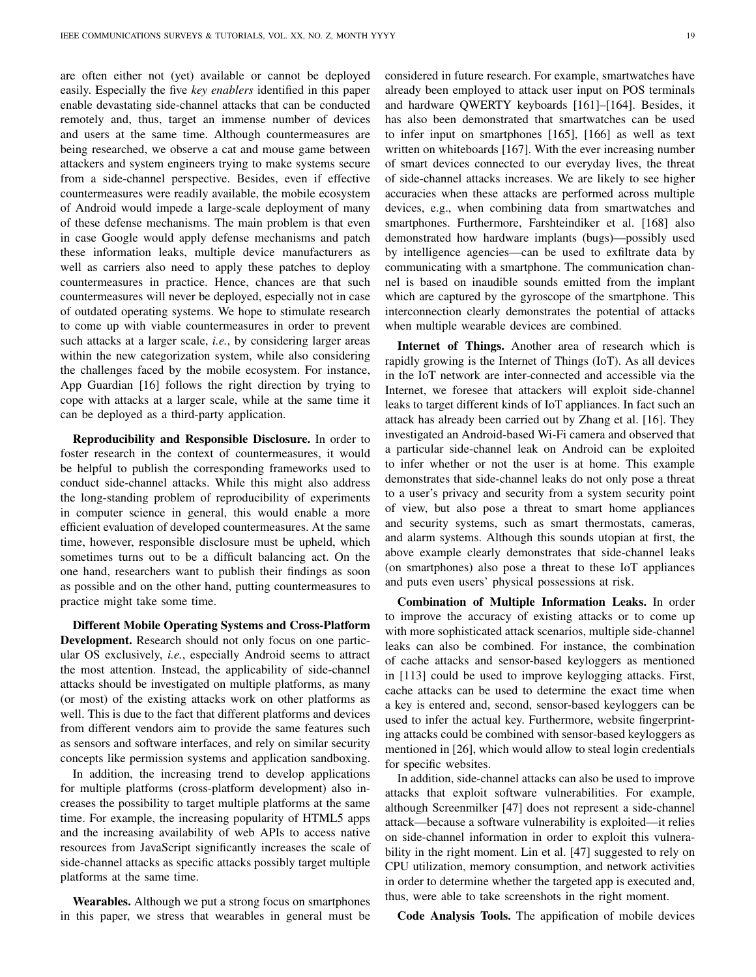are often either not (yet) available or cannot be deployed easily. Especially the five *key enablers* identified in this paper enable devastating side-channel attacks that can be conducted remotely and, thus, target an immense number of devices and users at the same time. Although countermeasures are being researched, we observe a cat and mouse game between attackers and system engineers trying to make systems secure from a side-channel perspective. Besides, even if effective countermeasures were readily available, the mobile ecosystem of Android would impede a large-scale deployment of many of these defense mechanisms. The main problem is that even in case Google would apply defense mechanisms and patch these information leaks, multiple device manufacturers as well as carriers also need to apply these patches to deploy countermeasures in practice. Hence, chances are that such countermeasures will never be deployed, especially not in case of outdated operating systems. We hope to stimulate research to come up with viable countermeasures in order to prevent such attacks at a larger scale, *i.e.*, by considering larger areas within the new categorization system, while also considering the challenges faced by the mobile ecosystem. For instance, App Guardian [\[16\]](#page-19-13) follows the right direction by trying to cope with attacks at a larger scale, while at the same time it can be deployed as a third-party application.

Reproducibility and Responsible Disclosure. In order to foster research in the context of countermeasures, it would be helpful to publish the corresponding frameworks used to conduct side-channel attacks. While this might also address the long-standing problem of reproducibility of experiments in computer science in general, this would enable a more efficient evaluation of developed countermeasures. At the same time, however, responsible disclosure must be upheld, which sometimes turns out to be a difficult balancing act. On the one hand, researchers want to publish their findings as soon as possible and on the other hand, putting countermeasures to practice might take some time.

Different Mobile Operating Systems and Cross-Platform Development. Research should not only focus on one particular OS exclusively, *i.e.*, especially Android seems to attract the most attention. Instead, the applicability of side-channel attacks should be investigated on multiple platforms, as many (or most) of the existing attacks work on other platforms as well. This is due to the fact that different platforms and devices from different vendors aim to provide the same features such as sensors and software interfaces, and rely on similar security concepts like permission systems and application sandboxing.

In addition, the increasing trend to develop applications for multiple platforms (cross-platform development) also increases the possibility to target multiple platforms at the same time. For example, the increasing popularity of HTML5 apps and the increasing availability of web APIs to access native resources from JavaScript significantly increases the scale of side-channel attacks as specific attacks possibly target multiple platforms at the same time.

Wearables. Although we put a strong focus on smartphones in this paper, we stress that wearables in general must be considered in future research. For example, smartwatches have already been employed to attack user input on POS terminals and hardware QWERTY keyboards [\[161\]](#page-23-7)–[\[164\]](#page-23-8). Besides, it has also been demonstrated that smartwatches can be used to infer input on smartphones [\[165\]](#page-23-9), [\[166\]](#page-23-10) as well as text written on whiteboards [\[167\]](#page-23-11). With the ever increasing number of smart devices connected to our everyday lives, the threat of side-channel attacks increases. We are likely to see higher accuracies when these attacks are performed across multiple devices, e.g., when combining data from smartwatches and smartphones. Furthermore, Farshteindiker et al. [\[168\]](#page-23-12) also demonstrated how hardware implants (bugs)—possibly used by intelligence agencies—can be used to exfiltrate data by communicating with a smartphone. The communication channel is based on inaudible sounds emitted from the implant which are captured by the gyroscope of the smartphone. This interconnection clearly demonstrates the potential of attacks when multiple wearable devices are combined.

Internet of Things. Another area of research which is rapidly growing is the Internet of Things (IoT). As all devices in the IoT network are inter-connected and accessible via the Internet, we foresee that attackers will exploit side-channel leaks to target different kinds of IoT appliances. In fact such an attack has already been carried out by Zhang et al. [\[16\]](#page-19-13). They investigated an Android-based Wi-Fi camera and observed that a particular side-channel leak on Android can be exploited to infer whether or not the user is at home. This example demonstrates that side-channel leaks do not only pose a threat to a user's privacy and security from a system security point of view, but also pose a threat to smart home appliances and security systems, such as smart thermostats, cameras, and alarm systems. Although this sounds utopian at first, the above example clearly demonstrates that side-channel leaks (on smartphones) also pose a threat to these IoT appliances and puts even users' physical possessions at risk.

Combination of Multiple Information Leaks. In order to improve the accuracy of existing attacks or to come up with more sophisticated attack scenarios, multiple side-channel leaks can also be combined. For instance, the combination of cache attacks and sensor-based keyloggers as mentioned in [\[113\]](#page-22-5) could be used to improve keylogging attacks. First, cache attacks can be used to determine the exact time when a key is entered and, second, sensor-based keyloggers can be used to infer the actual key. Furthermore, website fingerprinting attacks could be combined with sensor-based keyloggers as mentioned in [\[26\]](#page-20-4), which would allow to steal login credentials for specific websites.

In addition, side-channel attacks can also be used to improve attacks that exploit software vulnerabilities. For example, although Screenmilker [\[47\]](#page-20-25) does not represent a side-channel attack—because a software vulnerability is exploited—it relies on side-channel information in order to exploit this vulnera-bility in the right moment. Lin et al. [\[47\]](#page-20-25) suggested to rely on CPU utilization, memory consumption, and network activities in order to determine whether the targeted app is executed and, thus, were able to take screenshots in the right moment.

Code Analysis Tools. The appification of mobile devices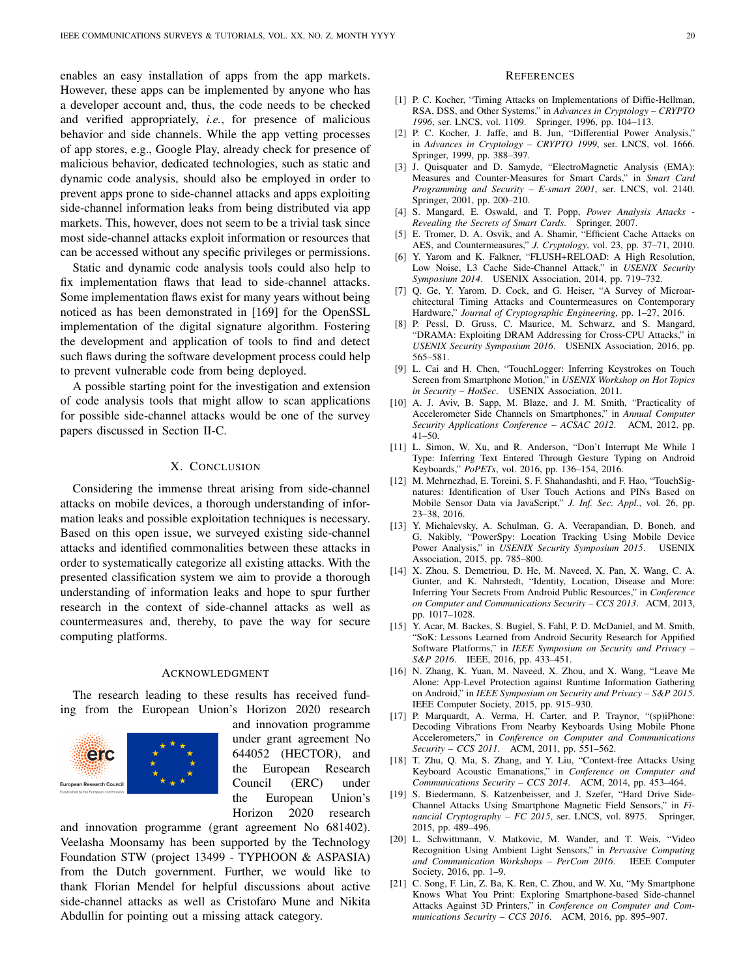enables an easy installation of apps from the app markets. However, these apps can be implemented by anyone who has a developer account and, thus, the code needs to be checked and verified appropriately, *i.e.*, for presence of malicious behavior and side channels. While the app vetting processes of app stores, e.g., Google Play, already check for presence of malicious behavior, dedicated technologies, such as static and dynamic code analysis, should also be employed in order to prevent apps prone to side-channel attacks and apps exploiting side-channel information leaks from being distributed via app markets. This, however, does not seem to be a trivial task since most side-channel attacks exploit information or resources that can be accessed without any specific privileges or permissions.

Static and dynamic code analysis tools could also help to fix implementation flaws that lead to side-channel attacks. Some implementation flaws exist for many years without being noticed as has been demonstrated in [\[169\]](#page-23-13) for the OpenSSL implementation of the digital signature algorithm. Fostering the development and application of tools to find and detect such flaws during the software development process could help to prevent vulnerable code from being deployed.

A possible starting point for the investigation and extension of code analysis tools that might allow to scan applications for possible side-channel attacks would be one of the survey papers discussed in Section [II-C.](#page-3-1)

# X. CONCLUSION

<span id="page-19-19"></span>Considering the immense threat arising from side-channel attacks on mobile devices, a thorough understanding of information leaks and possible exploitation techniques is necessary. Based on this open issue, we surveyed existing side-channel attacks and identified commonalities between these attacks in order to systematically categorize all existing attacks. With the presented classification system we aim to provide a thorough understanding of information leaks and hope to spur further research in the context of side-channel attacks as well as countermeasures and, thereby, to pave the way for secure computing platforms.

#### ACKNOWLEDGMENT

The research leading to these results has received funding from the European Union's Horizon 2020 research



and innovation programme under grant agreement No 644052 (HECTOR), and the European Research Council (ERC) under the European Union's Horizon 2020 research

and innovation programme (grant agreement No 681402). Veelasha Moonsamy has been supported by the Technology Foundation STW (project 13499 - TYPHOON & ASPASIA) from the Dutch government. Further, we would like to thank Florian Mendel for helpful discussions about active side-channel attacks as well as Cristofaro Mune and Nikita Abdullin for pointing out a missing attack category.

#### **REFERENCES**

- <span id="page-19-0"></span>[1] P. C. Kocher, "Timing Attacks on Implementations of Diffie-Hellman, RSA, DSS, and Other Systems," in *Advances in Cryptology – CRYPTO 1996*, ser. LNCS, vol. 1109. Springer, 1996, pp. 104–113.
- <span id="page-19-1"></span>[2] P. C. Kocher, J. Jaffe, and B. Jun, "Differential Power Analysis," in *Advances in Cryptology – CRYPTO 1999*, ser. LNCS, vol. 1666. Springer, 1999, pp. 388–397.
- <span id="page-19-2"></span>[3] J. Quisquater and D. Samyde, "ElectroMagnetic Analysis (EMA): Measures and Counter-Measures for Smart Cards," in *Smart Card Programming and Security – E-smart 2001*, ser. LNCS, vol. 2140. Springer, 2001, pp. 200–210.
- <span id="page-19-3"></span>[4] S. Mangard, E. Oswald, and T. Popp, *Power Analysis Attacks - Revealing the Secrets of Smart Cards*. Springer, 2007.
- <span id="page-19-4"></span>[5] E. Tromer, D. A. Osvik, and A. Shamir, "Efficient Cache Attacks on AES, and Countermeasures," *J. Cryptology*, vol. 23, pp. 37–71, 2010.
- <span id="page-19-20"></span>[6] Y. Yarom and K. Falkner, "FLUSH+RELOAD: A High Resolution, Low Noise, L3 Cache Side-Channel Attack," in *USENIX Security Symposium 2014*. USENIX Association, 2014, pp. 719–732.
- <span id="page-19-5"></span>[7] Q. Ge, Y. Yarom, D. Cock, and G. Heiser, "A Survey of Microarchitectural Timing Attacks and Countermeasures on Contemporary Hardware," *Journal of Cryptographic Engineering*, pp. 1–27, 2016.
- <span id="page-19-6"></span>[8] P. Pessl, D. Gruss, C. Maurice, M. Schwarz, and S. Mangard, "DRAMA: Exploiting DRAM Addressing for Cross-CPU Attacks," in *USENIX Security Symposium 2016*. USENIX Association, 2016, pp. 565–581.
- <span id="page-19-7"></span>[9] L. Cai and H. Chen, "TouchLogger: Inferring Keystrokes on Touch Screen from Smartphone Motion," in *USENIX Workshop on Hot Topics in Security – HotSec*. USENIX Association, 2011.
- <span id="page-19-18"></span>[10] A. J. Aviv, B. Sapp, M. Blaze, and J. M. Smith, "Practicality of Accelerometer Side Channels on Smartphones," in *Annual Computer Security Applications Conference – ACSAC 2012*. ACM, 2012, pp. 41–50.
- <span id="page-19-8"></span>[11] L. Simon, W. Xu, and R. Anderson, "Don't Interrupt Me While I Type: Inferring Text Entered Through Gesture Typing on Android Keyboards," *PoPETs*, vol. 2016, pp. 136–154, 2016.
- <span id="page-19-9"></span>[12] M. Mehrnezhad, E. Toreini, S. F. Shahandashti, and F. Hao, "TouchSignatures: Identification of User Touch Actions and PINs Based on Mobile Sensor Data via JavaScript," *J. Inf. Sec. Appl.*, vol. 26, pp. 23–38, 2016.
- <span id="page-19-10"></span>[13] Y. Michalevsky, A. Schulman, G. A. Veerapandian, D. Boneh, and G. Nakibly, "PowerSpy: Location Tracking Using Mobile Device Power Analysis," in *USENIX Security Symposium 2015*. USENIX Association, 2015, pp. 785–800.
- <span id="page-19-11"></span>[14] X. Zhou, S. Demetriou, D. He, M. Naveed, X. Pan, X. Wang, C. A. Gunter, and K. Nahrstedt, "Identity, Location, Disease and More: Inferring Your Secrets From Android Public Resources," in *Conference on Computer and Communications Security – CCS 2013*. ACM, 2013, pp. 1017–1028.
- <span id="page-19-12"></span>[15] Y. Acar, M. Backes, S. Bugiel, S. Fahl, P. D. McDaniel, and M. Smith, "SoK: Lessons Learned from Android Security Research for Appified Software Platforms," in *IEEE Symposium on Security and Privacy – S&P 2016*. IEEE, 2016, pp. 433–451.
- <span id="page-19-13"></span>[16] N. Zhang, K. Yuan, M. Naveed, X. Zhou, and X. Wang, "Leave Me Alone: App-Level Protection against Runtime Information Gathering on Android," in *IEEE Symposium on Security and Privacy – S&P 2015*. IEEE Computer Society, 2015, pp. 915–930.
- <span id="page-19-14"></span>[17] P. Marquardt, A. Verma, H. Carter, and P. Traynor, "(sp)iPhone: Decoding Vibrations From Nearby Keyboards Using Mobile Phone Accelerometers," in *Conference on Computer and Communications Security – CCS 2011*. ACM, 2011, pp. 551–562.
- [18] T. Zhu, Q. Ma, S. Zhang, and Y. Liu, "Context-free Attacks Using Keyboard Acoustic Emanations," in *Conference on Computer and Communications Security – CCS 2014*. ACM, 2014, pp. 453–464.
- <span id="page-19-15"></span>[19] S. Biedermann, S. Katzenbeisser, and J. Szefer, "Hard Drive Side-Channel Attacks Using Smartphone Magnetic Field Sensors," in *Financial Cryptography – FC 2015*, ser. LNCS, vol. 8975. Springer, 2015, pp. 489–496.
- <span id="page-19-16"></span>[20] L. Schwittmann, V. Matkovic, M. Wander, and T. Weis, "Video Recognition Using Ambient Light Sensors," in *Pervasive Computing and Communication Workshops – PerCom 2016*. IEEE Computer Society, 2016, pp. 1–9.
- <span id="page-19-17"></span>[21] C. Song, F. Lin, Z. Ba, K. Ren, C. Zhou, and W. Xu, "My Smartphone Knows What You Print: Exploring Smartphone-based Side-channel Attacks Against 3D Printers," in *Conference on Computer and Communications Security – CCS 2016*. ACM, 2016, pp. 895–907.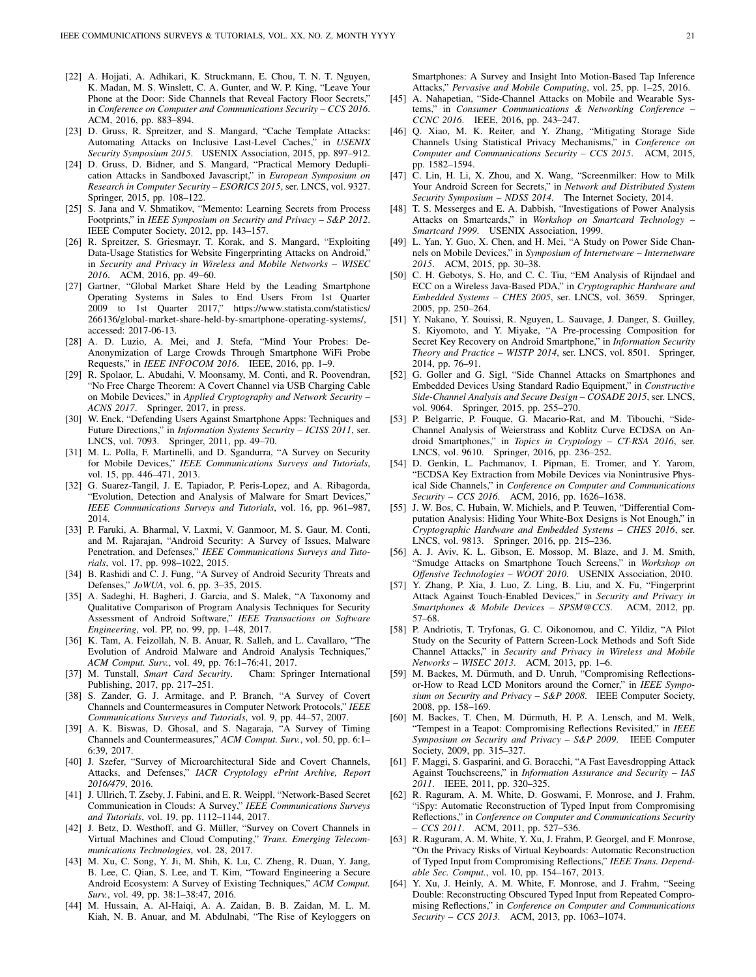- <span id="page-20-0"></span>[22] A. Hojjati, A. Adhikari, K. Struckmann, E. Chou, T. N. T. Nguyen, K. Madan, M. S. Winslett, C. A. Gunter, and W. P. King, "Leave Your Phone at the Door: Side Channels that Reveal Factory Floor Secrets," in *Conference on Computer and Communications Security – CCS 2016*. ACM, 2016, pp. 883–894.
- <span id="page-20-1"></span>[23] D. Gruss, R. Spreitzer, and S. Mangard, "Cache Template Attacks: Automating Attacks on Inclusive Last-Level Caches," in *USENIX Security Symposium 2015*. USENIX Association, 2015, pp. 897–912.
- <span id="page-20-2"></span>[24] D. Gruss, D. Bidner, and S. Mangard, "Practical Memory Deduplication Attacks in Sandboxed Javascript," in *European Symposium on Research in Computer Security – ESORICS 2015*, ser. LNCS, vol. 9327. Springer, 2015, pp. 108–122.
- <span id="page-20-3"></span>[25] S. Jana and V. Shmatikov, "Memento: Learning Secrets from Process Footprints," in *IEEE Symposium on Security and Privacy – S&P 2012*. IEEE Computer Society, 2012, pp. 143–157.
- <span id="page-20-4"></span>[26] R. Spreitzer, S. Griesmayr, T. Korak, and S. Mangard, "Exploiting Data-Usage Statistics for Website Fingerprinting Attacks on Android," in *Security and Privacy in Wireless and Mobile Networks – WISEC 2016*. ACM, 2016, pp. 49–60.
- <span id="page-20-5"></span>[27] Gartner, "Global Market Share Held by the Leading Smartphone Operating Systems in Sales to End Users From 1st Quarter 2009 to 1st Quarter 2017," [https://www.statista.com/statistics/](https://www.statista.com/statistics/266136/global-market-share-held-by-smartphone-operating-systems/) [266136/global-market-share-held-by-smartphone-operating-systems/,](https://www.statista.com/statistics/266136/global-market-share-held-by-smartphone-operating-systems/) accessed: 2017-06-13.
- <span id="page-20-6"></span>[28] A. D. Luzio, A. Mei, and J. Stefa, "Mind Your Probes: De-Anonymization of Large Crowds Through Smartphone WiFi Probe Requests," in *IEEE INFOCOM 2016*. IEEE, 2016, pp. 1–9.
- <span id="page-20-7"></span>[29] R. Spolaor, L. Abudahi, V. Moonsamy, M. Conti, and R. Poovendran, "No Free Charge Theorem: A Covert Channel via USB Charging Cable on Mobile Devices," in *Applied Cryptography and Network Security – ACNS 2017*. Springer, 2017, in press.
- <span id="page-20-8"></span>[30] W. Enck, "Defending Users Against Smartphone Apps: Techniques and Future Directions," in *Information Systems Security – ICISS 2011*, ser. LNCS, vol. 7093. Springer, 2011, pp. 49–70.
- <span id="page-20-9"></span>[31] M. L. Polla, F. Martinelli, and D. Sgandurra, "A Survey on Security for Mobile Devices," *IEEE Communications Surveys and Tutorials*, vol. 15, pp. 446–471, 2013.
- <span id="page-20-10"></span>[32] G. Suarez-Tangil, J. E. Tapiador, P. Peris-Lopez, and A. Ribagorda, "Evolution, Detection and Analysis of Malware for Smart Devices," *IEEE Communications Surveys and Tutorials*, vol. 16, pp. 961–987, 2014.
- <span id="page-20-11"></span>[33] P. Faruki, A. Bharmal, V. Laxmi, V. Ganmoor, M. S. Gaur, M. Conti, and M. Rajarajan, "Android Security: A Survey of Issues, Malware Penetration, and Defenses," *IEEE Communications Surveys and Tutorials*, vol. 17, pp. 998–1022, 2015.
- <span id="page-20-12"></span>[34] B. Rashidi and C. J. Fung, "A Survey of Android Security Threats and Defenses," *JoWUA*, vol. 6, pp. 3–35, 2015.
- <span id="page-20-13"></span>[35] A. Sadeghi, H. Bagheri, J. Garcia, and S. Malek, "A Taxonomy and Qualitative Comparison of Program Analysis Techniques for Security Assessment of Android Software," *IEEE Transactions on Software Engineering*, vol. PP, no. 99, pp. 1–48, 2017.
- <span id="page-20-14"></span>[36] K. Tam, A. Feizollah, N. B. Anuar, R. Salleh, and L. Cavallaro, "The Evolution of Android Malware and Android Analysis Techniques," *ACM Comput. Surv.*, vol. 49, pp. 76:1–76:41, 2017.
- <span id="page-20-15"></span>[37] M. Tunstall, *Smart Card Security*. Publishing, 2017, pp. 217–251.
- <span id="page-20-16"></span>[38] S. Zander, G. J. Armitage, and P. Branch, "A Survey of Covert Channels and Countermeasures in Computer Network Protocols," *IEEE Communications Surveys and Tutorials*, vol. 9, pp. 44–57, 2007.
- <span id="page-20-17"></span>[39] A. K. Biswas, D. Ghosal, and S. Nagaraja, "A Survey of Timing Channels and Countermeasures," *ACM Comput. Surv.*, vol. 50, pp. 6:1– 6:39, 2017.
- <span id="page-20-18"></span>[40] J. Szefer, "Survey of Microarchitectural Side and Covert Channels, Attacks, and Defenses," *IACR Cryptology ePrint Archive, Report 2016/479*, 2016.
- <span id="page-20-19"></span>[41] J. Ullrich, T. Zseby, J. Fabini, and E. R. Weippl, "Network-Based Secret Communication in Clouds: A Survey," *IEEE Communications Surveys and Tutorials*, vol. 19, pp. 1112–1144, 2017.
- <span id="page-20-20"></span>[42] J. Betz, D. Westhoff, and G. Müller, "Survey on Covert Channels in Virtual Machines and Cloud Computing," *Trans. Emerging Telecommunications Technologies*, vol. 28, 2017.
- <span id="page-20-21"></span>[43] M. Xu, C. Song, Y. Ji, M. Shih, K. Lu, C. Zheng, R. Duan, Y. Jang, B. Lee, C. Qian, S. Lee, and T. Kim, "Toward Engineering a Secure Android Ecosystem: A Survey of Existing Techniques," *ACM Comput. Surv.*, vol. 49, pp. 38:1–38:47, 2016.
- <span id="page-20-22"></span>[44] M. Hussain, A. Al-Haiqi, A. A. Zaidan, B. B. Zaidan, M. L. M. Kiah, N. B. Anuar, and M. Abdulnabi, "The Rise of Keyloggers on

Smartphones: A Survey and Insight Into Motion-Based Tap Inference Attacks," *Pervasive and Mobile Computing*, vol. 25, pp. 1–25, 2016.

- <span id="page-20-23"></span>[45] A. Nahapetian, "Side-Channel Attacks on Mobile and Wearable Systems," in *Consumer Communications & Networking Conference – CCNC 2016*. IEEE, 2016, pp. 243–247.
- <span id="page-20-24"></span>[46] Q. Xiao, M. K. Reiter, and Y. Zhang, "Mitigating Storage Side Channels Using Statistical Privacy Mechanisms," in *Conference on Computer and Communications Security – CCS 2015*. ACM, 2015, pp. 1582–1594.
- <span id="page-20-25"></span>[47] C. Lin, H. Li, X. Zhou, and X. Wang, "Screenmilker: How to Milk Your Android Screen for Secrets," in *Network and Distributed System Security Symposium – NDSS 2014*. The Internet Society, 2014.
- <span id="page-20-26"></span>[48] T. S. Messerges and E. A. Dabbish, "Investigations of Power Analysis Attacks on Smartcards," in *Workshop on Smartcard Technology – Smartcard 1999*. USENIX Association, 1999.
- <span id="page-20-27"></span>[49] L. Yan, Y. Guo, X. Chen, and H. Mei, "A Study on Power Side Channels on Mobile Devices," in *Symposium of Internetware – Internetware 2015*. ACM, 2015, pp. 30–38.
- <span id="page-20-28"></span>[50] C. H. Gebotys, S. Ho, and C. C. Tiu, "EM Analysis of Rijndael and ECC on a Wireless Java-Based PDA," in *Cryptographic Hardware and Embedded Systems – CHES 2005*, ser. LNCS, vol. 3659. Springer, 2005, pp. 250–264.
- <span id="page-20-29"></span>[51] Y. Nakano, Y. Souissi, R. Nguyen, L. Sauvage, J. Danger, S. Guilley, S. Kiyomoto, and Y. Miyake, "A Pre-processing Composition for Secret Key Recovery on Android Smartphone," in *Information Security Theory and Practice – WISTP 2014*, ser. LNCS, vol. 8501. Springer, 2014, pp. 76–91.
- <span id="page-20-30"></span>[52] G. Goller and G. Sigl, "Side Channel Attacks on Smartphones and Embedded Devices Using Standard Radio Equipment," in *Constructive Side-Channel Analysis and Secure Design – COSADE 2015*, ser. LNCS, vol. 9064. Springer, 2015, pp. 255–270.
- <span id="page-20-31"></span>[53] P. Belgarric, P. Fouque, G. Macario-Rat, and M. Tibouchi, "Side-Channel Analysis of Weierstrass and Koblitz Curve ECDSA on Android Smartphones," in *Topics in Cryptology – CT-RSA 2016*, ser. LNCS, vol. 9610. Springer, 2016, pp. 236–252.
- <span id="page-20-32"></span>[54] D. Genkin, L. Pachmanov, I. Pipman, E. Tromer, and Y. Yarom, "ECDSA Key Extraction from Mobile Devices via Nonintrusive Physical Side Channels," in *Conference on Computer and Communications Security – CCS 2016*. ACM, 2016, pp. 1626–1638.
- <span id="page-20-33"></span>[55] J. W. Bos, C. Hubain, W. Michiels, and P. Teuwen, "Differential Computation Analysis: Hiding Your White-Box Designs is Not Enough," in *Cryptographic Hardware and Embedded Systems – CHES 2016*, ser. LNCS, vol. 9813. Springer, 2016, pp. 215–236.
- <span id="page-20-34"></span>[56] A. J. Aviv, K. L. Gibson, E. Mossop, M. Blaze, and J. M. Smith, "Smudge Attacks on Smartphone Touch Screens," in *Workshop on Offensive Technologies – WOOT 2010*. USENIX Association, 2010.
- <span id="page-20-35"></span>[57] Y. Zhang, P. Xia, J. Luo, Z. Ling, B. Liu, and X. Fu, "Fingerprint Attack Against Touch-Enabled Devices," in *Security and Privacy in Smartphones & Mobile Devices – SPSM@CCS*. ACM, 2012, pp. 57–68.
- <span id="page-20-36"></span>[58] P. Andriotis, T. Tryfonas, G. C. Oikonomou, and C. Yildiz, "A Pilot Study on the Security of Pattern Screen-Lock Methods and Soft Side Channel Attacks," in *Security and Privacy in Wireless and Mobile Networks – WISEC 2013*. ACM, 2013, pp. 1–6.
- <span id="page-20-37"></span>[59] M. Backes, M. Dürmuth, and D. Unruh, "Compromising Reflectionsor-How to Read LCD Monitors around the Corner," in *IEEE Symposium on Security and Privacy – S&P 2008*. IEEE Computer Society, 2008, pp. 158–169.
- <span id="page-20-38"></span>[60] M. Backes, T. Chen, M. Dürmuth, H. P. A. Lensch, and M. Welk, "Tempest in a Teapot: Compromising Reflections Revisited," in *IEEE Symposium on Security and Privacy – S&P 2009*. IEEE Computer Society, 2009, pp. 315–327.
- <span id="page-20-39"></span>[61] F. Maggi, S. Gasparini, and G. Boracchi, "A Fast Eavesdropping Attack Against Touchscreens," in *Information Assurance and Security – IAS 2011*. IEEE, 2011, pp. 320–325.
- <span id="page-20-40"></span>[62] R. Raguram, A. M. White, D. Goswami, F. Monrose, and J. Frahm, "iSpy: Automatic Reconstruction of Typed Input from Compromising Reflections," in *Conference on Computer and Communications Security – CCS 2011*. ACM, 2011, pp. 527–536.
- <span id="page-20-41"></span>[63] R. Raguram, A. M. White, Y. Xu, J. Frahm, P. Georgel, and F. Monrose, "On the Privacy Risks of Virtual Keyboards: Automatic Reconstruction of Typed Input from Compromising Reflections," *IEEE Trans. Dependable Sec. Comput.*, vol. 10, pp. 154–167, 2013.
- <span id="page-20-42"></span>[64] Y. Xu, J. Heinly, A. M. White, F. Monrose, and J. Frahm, "Seeing Double: Reconstructing Obscured Typed Input from Repeated Compromising Reflections," in *Conference on Computer and Communications Security – CCS 2013*. ACM, 2013, pp. 1063–1074.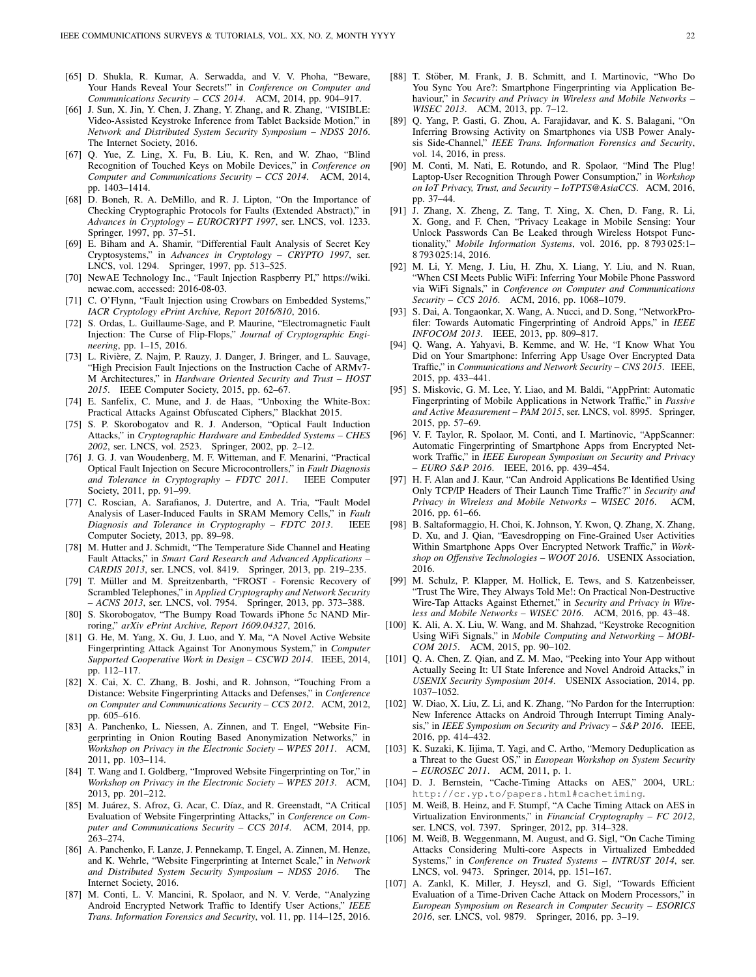- <span id="page-21-0"></span>[65] D. Shukla, R. Kumar, A. Serwadda, and V. V. Phoha, "Beware, Your Hands Reveal Your Secrets!" in *Conference on Computer and Communications Security – CCS 2014*. ACM, 2014, pp. 904–917.
- <span id="page-21-1"></span>[66] J. Sun, X. Jin, Y. Chen, J. Zhang, Y. Zhang, and R. Zhang, "VISIBLE: Video-Assisted Keystroke Inference from Tablet Backside Motion," in *Network and Distributed System Security Symposium – NDSS 2016*. The Internet Society, 2016.
- <span id="page-21-2"></span>[67] Q. Yue, Z. Ling, X. Fu, B. Liu, K. Ren, and W. Zhao, "Blind Recognition of Touched Keys on Mobile Devices," in *Conference on Computer and Communications Security – CCS 2014*. ACM, 2014, pp. 1403–1414.
- <span id="page-21-3"></span>[68] D. Boneh, R. A. DeMillo, and R. J. Lipton, "On the Importance of Checking Cryptographic Protocols for Faults (Extended Abstract)," in *Advances in Cryptology – EUROCRYPT 1997*, ser. LNCS, vol. 1233. Springer, 1997, pp. 37–51.
- <span id="page-21-4"></span>[69] E. Biham and A. Shamir, "Differential Fault Analysis of Secret Key Cryptosystems," in *Advances in Cryptology – CRYPTO 1997*, ser. LNCS, vol. 1294. Springer, 1997, pp. 513–525.
- <span id="page-21-5"></span>[70] NewAE Technology Inc., "Fault Injection Raspberry PI," [https://wiki.](https://wiki.newae.com) [newae.com,](https://wiki.newae.com) accessed: 2016-08-03.
- <span id="page-21-6"></span>[71] C. O'Flynn, "Fault Injection using Crowbars on Embedded Systems," *IACR Cryptology ePrint Archive, Report 2016/810*, 2016.
- <span id="page-21-7"></span>[72] S. Ordas, L. Guillaume-Sage, and P. Maurine, "Electromagnetic Fault Injection: The Curse of Flip-Flops," *Journal of Cryptographic Engineering*, pp. 1–15, 2016.
- <span id="page-21-8"></span>[73] L. Rivière, Z. Najm, P. Rauzy, J. Danger, J. Bringer, and L. Sauvage, "High Precision Fault Injections on the Instruction Cache of ARMv7- M Architectures," in *Hardware Oriented Security and Trust – HOST 2015*. IEEE Computer Society, 2015, pp. 62–67.
- <span id="page-21-9"></span>[74] E. Sanfelix, C. Mune, and J. de Haas, "Unboxing the White-Box: Practical Attacks Against Obfuscated Ciphers," Blackhat 2015.
- <span id="page-21-10"></span>[75] S. P. Skorobogatov and R. J. Anderson, "Optical Fault Induction Attacks," in *Cryptographic Hardware and Embedded Systems – CHES 2002*, ser. LNCS, vol. 2523. Springer, 2002, pp. 2–12.
- <span id="page-21-15"></span>[76] J. G. J. van Woudenberg, M. F. Witteman, and F. Menarini, "Practical Optical Fault Injection on Secure Microcontrollers," in *Fault Diagnosis and Tolerance in Cryptography – FDTC 2011*. IEEE Computer Society, 2011, pp. 91–99.
- <span id="page-21-11"></span>[77] C. Roscian, A. Sarafianos, J. Dutertre, and A. Tria, "Fault Model Analysis of Laser-Induced Faults in SRAM Memory Cells," in *Fault Diagnosis and Tolerance in Cryptography – FDTC 2013*. IEEE Computer Society, 2013, pp. 89–98.
- <span id="page-21-12"></span>[78] M. Hutter and J. Schmidt, "The Temperature Side Channel and Heating Fault Attacks," in *Smart Card Research and Advanced Applications – CARDIS 2013*, ser. LNCS, vol. 8419. Springer, 2013, pp. 219–235.
- <span id="page-21-13"></span>[79] T. Müller and M. Spreitzenbarth, "FROST - Forensic Recovery of Scrambled Telephones," in *Applied Cryptography and Network Security – ACNS 2013*, ser. LNCS, vol. 7954. Springer, 2013, pp. 373–388.
- <span id="page-21-14"></span>[80] S. Skorobogatov, "The Bumpy Road Towards iPhone 5c NAND Mirroring," *arXiv ePrint Archive, Report 1609.04327*, 2016.
- <span id="page-21-16"></span>[81] G. He, M. Yang, X. Gu, J. Luo, and Y. Ma, "A Novel Active Website Fingerprinting Attack Against Tor Anonymous System," in *Computer Supported Cooperative Work in Design – CSCWD 2014*. IEEE, 2014, pp. 112–117.
- <span id="page-21-24"></span>[82] X. Cai, X. C. Zhang, B. Joshi, and R. Johnson, "Touching From a Distance: Website Fingerprinting Attacks and Defenses," in *Conference on Computer and Communications Security – CCS 2012*. ACM, 2012, pp. 605–616.
- [83] A. Panchenko, L. Niessen, A. Zinnen, and T. Engel, "Website Fingerprinting in Onion Routing Based Anonymization Networks," in *Workshop on Privacy in the Electronic Society – WPES 2011*. ACM, 2011, pp. 103–114.
- [84] T. Wang and I. Goldberg, "Improved Website Fingerprinting on Tor," in *Workshop on Privacy in the Electronic Society – WPES 2013*. ACM, 2013, pp. 201–212.
- [85] M. Juárez, S. Afroz, G. Acar, C. Díaz, and R. Greenstadt, "A Critical Evaluation of Website Fingerprinting Attacks," in *Conference on Computer and Communications Security – CCS 2014*. ACM, 2014, pp. 263–274.
- <span id="page-21-17"></span>[86] A. Panchenko, F. Lanze, J. Pennekamp, T. Engel, A. Zinnen, M. Henze, and K. Wehrle, "Website Fingerprinting at Internet Scale," in *Network and Distributed System Security Symposium – NDSS 2016*. The Internet Society, 2016.
- <span id="page-21-18"></span>[87] M. Conti, L. V. Mancini, R. Spolaor, and N. V. Verde, "Analyzing Android Encrypted Network Traffic to Identify User Actions," *IEEE Trans. Information Forensics and Security*, vol. 11, pp. 114–125, 2016.
- <span id="page-21-19"></span>[88] T. Stöber, M. Frank, J. B. Schmitt, and I. Martinovic, "Who Do You Sync You Are?: Smartphone Fingerprinting via Application Behaviour," in *Security and Privacy in Wireless and Mobile Networks – WISEC 2013*. ACM, 2013, pp. 7–12.
- <span id="page-21-20"></span>[89] Q. Yang, P. Gasti, G. Zhou, A. Farajidavar, and K. S. Balagani, "On Inferring Browsing Activity on Smartphones via USB Power Analysis Side-Channel," *IEEE Trans. Information Forensics and Security*, vol. 14, 2016, in press.
- <span id="page-21-21"></span>[90] M. Conti, M. Nati, E. Rotundo, and R. Spolaor, "Mind The Plug! Laptop-User Recognition Through Power Consumption," in *Workshop on IoT Privacy, Trust, and Security – IoTPTS@AsiaCCS*. ACM, 2016, pp. 37–44.
- <span id="page-21-22"></span>[91] J. Zhang, X. Zheng, Z. Tang, T. Xing, X. Chen, D. Fang, R. Li, X. Gong, and F. Chen, "Privacy Leakage in Mobile Sensing: Your Unlock Passwords Can Be Leaked through Wireless Hotspot Functionality," *Mobile Information Systems*, vol. 2016, pp. 8 793 025:1– 8 793 025:14, 2016.
- <span id="page-21-23"></span>[92] M. Li, Y. Meng, J. Liu, H. Zhu, X. Liang, Y. Liu, and N. Ruan, "When CSI Meets Public WiFi: Inferring Your Mobile Phone Password via WiFi Signals," in *Conference on Computer and Communications Security – CCS 2016*. ACM, 2016, pp. 1068–1079.
- <span id="page-21-25"></span>[93] S. Dai, A. Tongaonkar, X. Wang, A. Nucci, and D. Song, "NetworkProfiler: Towards Automatic Fingerprinting of Android Apps," in *IEEE INFOCOM 2013*. IEEE, 2013, pp. 809–817.
- [94] Q. Wang, A. Yahyavi, B. Kemme, and W. He, "I Know What You Did on Your Smartphone: Inferring App Usage Over Encrypted Data Traffic," in *Communications and Network Security – CNS 2015*. IEEE, 2015, pp. 433–441.
- [95] S. Miskovic, G. M. Lee, Y. Liao, and M. Baldi, "AppPrint: Automatic Fingerprinting of Mobile Applications in Network Traffic," in *Passive and Active Measurement – PAM 2015*, ser. LNCS, vol. 8995. Springer, 2015, pp. 57–69.
- <span id="page-21-35"></span>[96] V. F. Taylor, R. Spolaor, M. Conti, and I. Martinovic, "AppScanner: Automatic Fingerprinting of Smartphone Apps from Encrypted Network Traffic," in *IEEE European Symposium on Security and Privacy – EURO S&P 2016*. IEEE, 2016, pp. 439–454.
- [97] H. F. Alan and J. Kaur, "Can Android Applications Be Identified Using Only TCP/IP Headers of Their Launch Time Traffic?" in *Security and Privacy in Wireless and Mobile Networks – WISEC 2016*. ACM, 2016, pp. 61–66.
- <span id="page-21-26"></span>[98] B. Saltaformaggio, H. Choi, K. Johnson, Y. Kwon, Q. Zhang, X. Zhang, D. Xu, and J. Qian, "Eavesdropping on Fine-Grained User Activities Within Smartphone Apps Over Encrypted Network Traffic," in *Workshop on Offensive Technologies – WOOT 2016*. USENIX Association, 2016.
- <span id="page-21-27"></span>[99] M. Schulz, P. Klapper, M. Hollick, E. Tews, and S. Katzenbeisser, "Trust The Wire, They Always Told Me!: On Practical Non-Destructive Wire-Tap Attacks Against Ethernet," in *Security and Privacy in Wireless and Mobile Networks – WISEC 2016*. ACM, 2016, pp. 43–48.
- <span id="page-21-28"></span>[100] K. Ali, A. X. Liu, W. Wang, and M. Shahzad, "Keystroke Recognition Using WiFi Signals," in *Mobile Computing and Networking – MOBI-COM 2015*. ACM, 2015, pp. 90–102.
- <span id="page-21-29"></span>[101] Q. A. Chen, Z. Qian, and Z. M. Mao, "Peeking into Your App without Actually Seeing It: UI State Inference and Novel Android Attacks," in *USENIX Security Symposium 2014*. USENIX Association, 2014, pp. 1037–1052.
- <span id="page-21-30"></span>[102] W. Diao, X. Liu, Z. Li, and K. Zhang, "No Pardon for the Interruption: New Inference Attacks on Android Through Interrupt Timing Analysis," in *IEEE Symposium on Security and Privacy – S&P 2016*. IEEE, 2016, pp. 414–432.
- <span id="page-21-31"></span>[103] K. Suzaki, K. Iijima, T. Yagi, and C. Artho, "Memory Deduplication as a Threat to the Guest OS," in *European Workshop on System Security – EUROSEC 2011*. ACM, 2011, p. 1.
- <span id="page-21-32"></span>[104] D. J. Bernstein, "Cache-Timing Attacks on AES," 2004, URL: http://cr.yp.to/papers.html#cachetiming.
- <span id="page-21-33"></span>[105] M. Weiß, B. Heinz, and F. Stumpf, "A Cache Timing Attack on AES in Virtualization Environments," in *Financial Cryptography – FC 2012*, ser. LNCS, vol. 7397. Springer, 2012, pp. 314–328.
- [106] M. Weiß, B. Weggenmann, M. August, and G. Sigl, "On Cache Timing Attacks Considering Multi-core Aspects in Virtualized Embedded Systems," in *Conference on Trusted Systems – INTRUST 2014*, ser. LNCS, vol. 9473. Springer, 2014, pp. 151–167.
- <span id="page-21-34"></span>[107] A. Zankl, K. Miller, J. Heyszl, and G. Sigl, "Towards Efficient Evaluation of a Time-Driven Cache Attack on Modern Processors," in *European Symposium on Research in Computer Security – ESORICS 2016*, ser. LNCS, vol. 9879. Springer, 2016, pp. 3–19.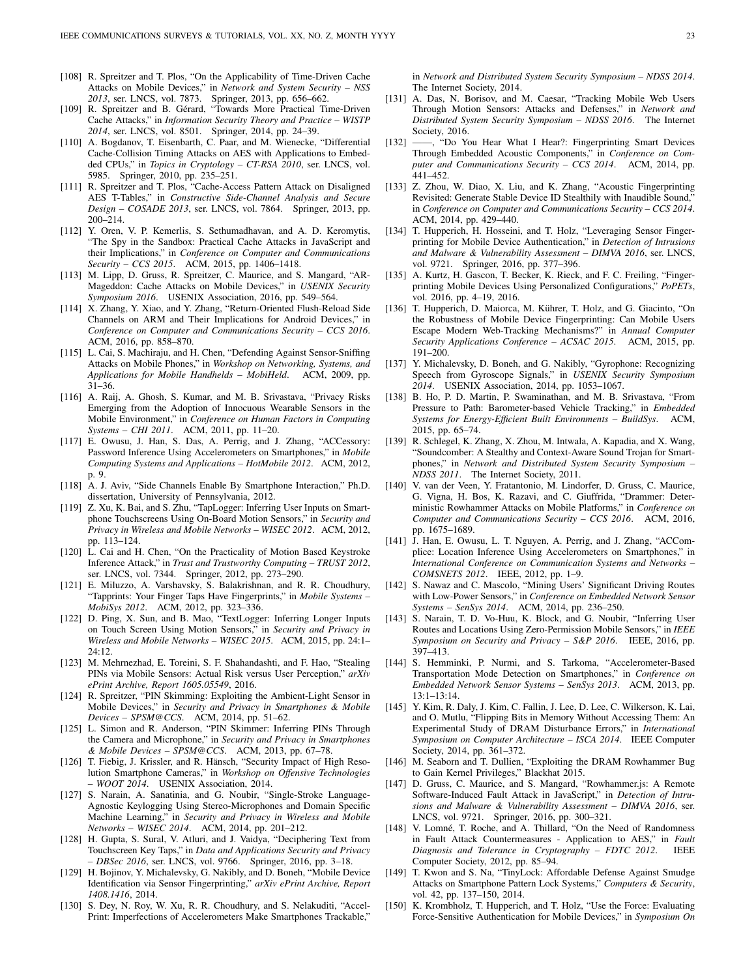- <span id="page-22-0"></span>[108] R. Spreitzer and T. Plos, "On the Applicability of Time-Driven Cache Attacks on Mobile Devices," in *Network and System Security – NSS 2013*, ser. LNCS, vol. 7873. Springer, 2013, pp. 656–662.
- <span id="page-22-1"></span>[109] R. Spreitzer and B. Gérard, "Towards More Practical Time-Driven Cache Attacks," in *Information Security Theory and Practice – WISTP 2014*, ser. LNCS, vol. 8501. Springer, 2014, pp. 24–39.
- <span id="page-22-2"></span>[110] A. Bogdanov, T. Eisenbarth, C. Paar, and M. Wienecke, "Differential Cache-Collision Timing Attacks on AES with Applications to Embedded CPUs," in *Topics in Cryptology – CT-RSA 2010*, ser. LNCS, vol. 5985. Springer, 2010, pp. 235–251.
- <span id="page-22-3"></span>[111] R. Spreitzer and T. Plos, "Cache-Access Pattern Attack on Disaligned AES T-Tables," in *Constructive Side-Channel Analysis and Secure Design – COSADE 2013*, ser. LNCS, vol. 7864. Springer, 2013, pp. 200–214.
- <span id="page-22-4"></span>[112] Y. Oren, V. P. Kemerlis, S. Sethumadhavan, and A. D. Keromytis, "The Spy in the Sandbox: Practical Cache Attacks in JavaScript and their Implications," in *Conference on Computer and Communications Security – CCS 2015*. ACM, 2015, pp. 1406–1418.
- <span id="page-22-5"></span>[113] M. Lipp, D. Gruss, R. Spreitzer, C. Maurice, and S. Mangard, "AR-Mageddon: Cache Attacks on Mobile Devices," in *USENIX Security Symposium 2016*. USENIX Association, 2016, pp. 549–564.
- <span id="page-22-6"></span>[114] X. Zhang, Y. Xiao, and Y. Zhang, "Return-Oriented Flush-Reload Side Channels on ARM and Their Implications for Android Devices," in *Conference on Computer and Communications Security – CCS 2016*. ACM, 2016, pp. 858–870.
- <span id="page-22-7"></span>[115] L. Cai, S. Machiraju, and H. Chen, "Defending Against Sensor-Sniffing Attacks on Mobile Phones," in *Workshop on Networking, Systems, and Applications for Mobile Handhelds – MobiHeld*. ACM, 2009, pp. 31–36.
- <span id="page-22-8"></span>[116] A. Raij, A. Ghosh, S. Kumar, and M. B. Srivastava, "Privacy Risks Emerging from the Adoption of Innocuous Wearable Sensors in the Mobile Environment," in *Conference on Human Factors in Computing Systems – CHI 2011*. ACM, 2011, pp. 11–20.
- <span id="page-22-9"></span>[117] E. Owusu, J. Han, S. Das, A. Perrig, and J. Zhang, "ACCessory: Password Inference Using Accelerometers on Smartphones," in *Mobile Computing Systems and Applications – HotMobile 2012*. ACM, 2012, p. 9.
- <span id="page-22-10"></span>[118] A. J. Aviv, "Side Channels Enable By Smartphone Interaction," Ph.D. dissertation, University of Pennsylvania, 2012.
- <span id="page-22-11"></span>[119] Z. Xu, K. Bai, and S. Zhu, "TapLogger: Inferring User Inputs on Smartphone Touchscreens Using On-Board Motion Sensors," in *Security and Privacy in Wireless and Mobile Networks – WISEC 2012*. ACM, 2012, pp. 113–124.
- [120] L. Cai and H. Chen, "On the Practicality of Motion Based Keystroke Inference Attack," in *Trust and Trustworthy Computing – TRUST 2012*, ser. LNCS, vol. 7344. Springer, 2012, pp. 273–290.
- <span id="page-22-12"></span>[121] E. Miluzzo, A. Varshavsky, S. Balakrishnan, and R. R. Choudhury, "Tapprints: Your Finger Taps Have Fingerprints," in *Mobile Systems – MobiSys 2012*. ACM, 2012, pp. 323–336.
- <span id="page-22-13"></span>[122] D. Ping, X. Sun, and B. Mao, "TextLogger: Inferring Longer Inputs on Touch Screen Using Motion Sensors," in *Security and Privacy in Wireless and Mobile Networks – WISEC 2015*. ACM, 2015, pp. 24:1– 24:12.
- <span id="page-22-14"></span>[123] M. Mehrnezhad, E. Toreini, S. F. Shahandashti, and F. Hao, "Stealing PINs via Mobile Sensors: Actual Risk versus User Perception," *arXiv ePrint Archive, Report 1605.05549*, 2016.
- <span id="page-22-15"></span>[124] R. Spreitzer, "PIN Skimming: Exploiting the Ambient-Light Sensor in Mobile Devices," in *Security and Privacy in Smartphones & Mobile Devices – SPSM@CCS*. ACM, 2014, pp. 51–62.
- <span id="page-22-16"></span>[125] L. Simon and R. Anderson, "PIN Skimmer: Inferring PINs Through the Camera and Microphone," in *Security and Privacy in Smartphones & Mobile Devices – SPSM@CCS*. ACM, 2013, pp. 67–78.
- <span id="page-22-17"></span>[126] T. Fiebig, J. Krissler, and R. Hänsch, "Security Impact of High Resolution Smartphone Cameras," in *Workshop on Offensive Technologies – WOOT 2014*. USENIX Association, 2014.
- <span id="page-22-18"></span>[127] S. Narain, A. Sanatinia, and G. Noubir, "Single-Stroke Language-Agnostic Keylogging Using Stereo-Microphones and Domain Specific Machine Learning," in *Security and Privacy in Wireless and Mobile Networks – WISEC 2014*. ACM, 2014, pp. 201–212.
- <span id="page-22-19"></span>[128] H. Gupta, S. Sural, V. Atluri, and J. Vaidya, "Deciphering Text from Touchscreen Key Taps," in *Data and Applications Security and Privacy – DBSec 2016*, ser. LNCS, vol. 9766. Springer, 2016, pp. 3–18.
- <span id="page-22-20"></span>[129] H. Bojinov, Y. Michalevsky, G. Nakibly, and D. Boneh, "Mobile Device Identification via Sensor Fingerprinting," *arXiv ePrint Archive, Report 1408.1416*, 2014.
- <span id="page-22-21"></span>[130] S. Dey, N. Roy, W. Xu, R. R. Choudhury, and S. Nelakuditi, "Accel-Print: Imperfections of Accelerometers Make Smartphones Trackable,"

in *Network and Distributed System Security Symposium – NDSS 2014*. The Internet Society, 2014.

- <span id="page-22-22"></span>[131] A. Das, N. Borisov, and M. Caesar, "Tracking Mobile Web Users Through Motion Sensors: Attacks and Defenses," in *Network and Distributed System Security Symposium – NDSS 2016*. The Internet Society, 2016.
- <span id="page-22-23"></span>[132] ——, "Do You Hear What I Hear?: Fingerprinting Smart Devices Through Embedded Acoustic Components," in *Conference on Computer and Communications Security – CCS 2014*. ACM, 2014, pp. 441–452.
- <span id="page-22-24"></span>[133] Z. Zhou, W. Diao, X. Liu, and K. Zhang, "Acoustic Fingerprinting Revisited: Generate Stable Device ID Stealthily with Inaudible Sound," in *Conference on Computer and Communications Security – CCS 2014*. ACM, 2014, pp. 429–440.
- <span id="page-22-25"></span>[134] T. Hupperich, H. Hosseini, and T. Holz, "Leveraging Sensor Fingerprinting for Mobile Device Authentication," in *Detection of Intrusions and Malware & Vulnerability Assessment – DIMVA 2016*, ser. LNCS, vol. 9721. Springer, 2016, pp. 377–396.
- <span id="page-22-26"></span>[135] A. Kurtz, H. Gascon, T. Becker, K. Rieck, and F. C. Freiling, "Fingerprinting Mobile Devices Using Personalized Configurations," *PoPETs*, vol. 2016, pp. 4–19, 2016.
- <span id="page-22-27"></span>[136] T. Hupperich, D. Maiorca, M. Kührer, T. Holz, and G. Giacinto, "On the Robustness of Mobile Device Fingerprinting: Can Mobile Users Escape Modern Web-Tracking Mechanisms?" in *Annual Computer Security Applications Conference – ACSAC 2015*. ACM, 2015, pp. 191–200.
- <span id="page-22-31"></span>[137] Y. Michalevsky, D. Boneh, and G. Nakibly, "Gyrophone: Recognizing Speech from Gyroscope Signals," in *USENIX Security Symposium 2014*. USENIX Association, 2014, pp. 1053–1067.
- <span id="page-22-32"></span>[138] B. Ho, P. D. Martin, P. Swaminathan, and M. B. Srivastava, "From Pressure to Path: Barometer-based Vehicle Tracking," in *Embedded Systems for Energy-Efficient Built Environments – BuildSys*. ACM, 2015, pp. 65–74.
- <span id="page-22-33"></span>[139] R. Schlegel, K. Zhang, X. Zhou, M. Intwala, A. Kapadia, and X. Wang, "Soundcomber: A Stealthy and Context-Aware Sound Trojan for Smartphones," in *Network and Distributed System Security Symposium – NDSS 2011*. The Internet Society, 2011.
- <span id="page-22-34"></span>[140] V. van der Veen, Y. Fratantonio, M. Lindorfer, D. Gruss, C. Maurice, G. Vigna, H. Bos, K. Razavi, and C. Giuffrida, "Drammer: Deterministic Rowhammer Attacks on Mobile Platforms," in *Conference on Computer and Communications Security – CCS 2016*. ACM, 2016, pp. 1675–1689.
- <span id="page-22-28"></span>[141] J. Han, E. Owusu, L. T. Nguyen, A. Perrig, and J. Zhang, "ACComplice: Location Inference Using Accelerometers on Smartphones," in *International Conference on Communication Systems and Networks – COMSNETS 2012*. IEEE, 2012, pp. 1–9.
- <span id="page-22-29"></span>[142] S. Nawaz and C. Mascolo, "Mining Users' Significant Driving Routes with Low-Power Sensors," in *Conference on Embedded Network Sensor Systems – SenSys 2014*. ACM, 2014, pp. 236–250.
- <span id="page-22-30"></span>[143] S. Narain, T. D. Vo-Huu, K. Block, and G. Noubir, "Inferring User Routes and Locations Using Zero-Permission Mobile Sensors," in *IEEE Symposium on Security and Privacy – S&P 2016*. IEEE, 2016, pp. 397–413.
- <span id="page-22-35"></span>[144] S. Hemminki, P. Nurmi, and S. Tarkoma, "Accelerometer-Based Transportation Mode Detection on Smartphones," in *Conference on Embedded Network Sensor Systems – SenSys 2013*. ACM, 2013, pp. 13:1–13:14.
- <span id="page-22-36"></span>[145] Y. Kim, R. Daly, J. Kim, C. Fallin, J. Lee, D. Lee, C. Wilkerson, K. Lai, and O. Mutlu, "Flipping Bits in Memory Without Accessing Them: An Experimental Study of DRAM Disturbance Errors," in *International Symposium on Computer Architecture – ISCA 2014*. IEEE Computer Society, 2014, pp. 361–372.
- <span id="page-22-37"></span>[146] M. Seaborn and T. Dullien, "Exploiting the DRAM Rowhammer Bug to Gain Kernel Privileges," Blackhat 2015.
- <span id="page-22-38"></span>[147] D. Gruss, C. Maurice, and S. Mangard, "Rowhammer.js: A Remote Software-Induced Fault Attack in JavaScript," in *Detection of Intrusions and Malware & Vulnerability Assessment – DIMVA 2016*, ser. LNCS, vol. 9721. Springer, 2016, pp. 300–321.
- <span id="page-22-39"></span>[148] V. Lomné, T. Roche, and A. Thillard, "On the Need of Randomness in Fault Attack Countermeasures - Application to AES," in *Fault Diagnosis and Tolerance in Cryptography – FDTC 2012*. IEEE Computer Society, 2012, pp. 85–94.
- <span id="page-22-40"></span>[149] T. Kwon and S. Na, "TinyLock: Affordable Defense Against Smudge Attacks on Smartphone Pattern Lock Systems," *Computers & Security*, vol. 42, pp. 137–150, 2014.
- <span id="page-22-41"></span>[150] K. Krombholz, T. Hupperich, and T. Holz, "Use the Force: Evaluating Force-Sensitive Authentication for Mobile Devices," in *Symposium On*